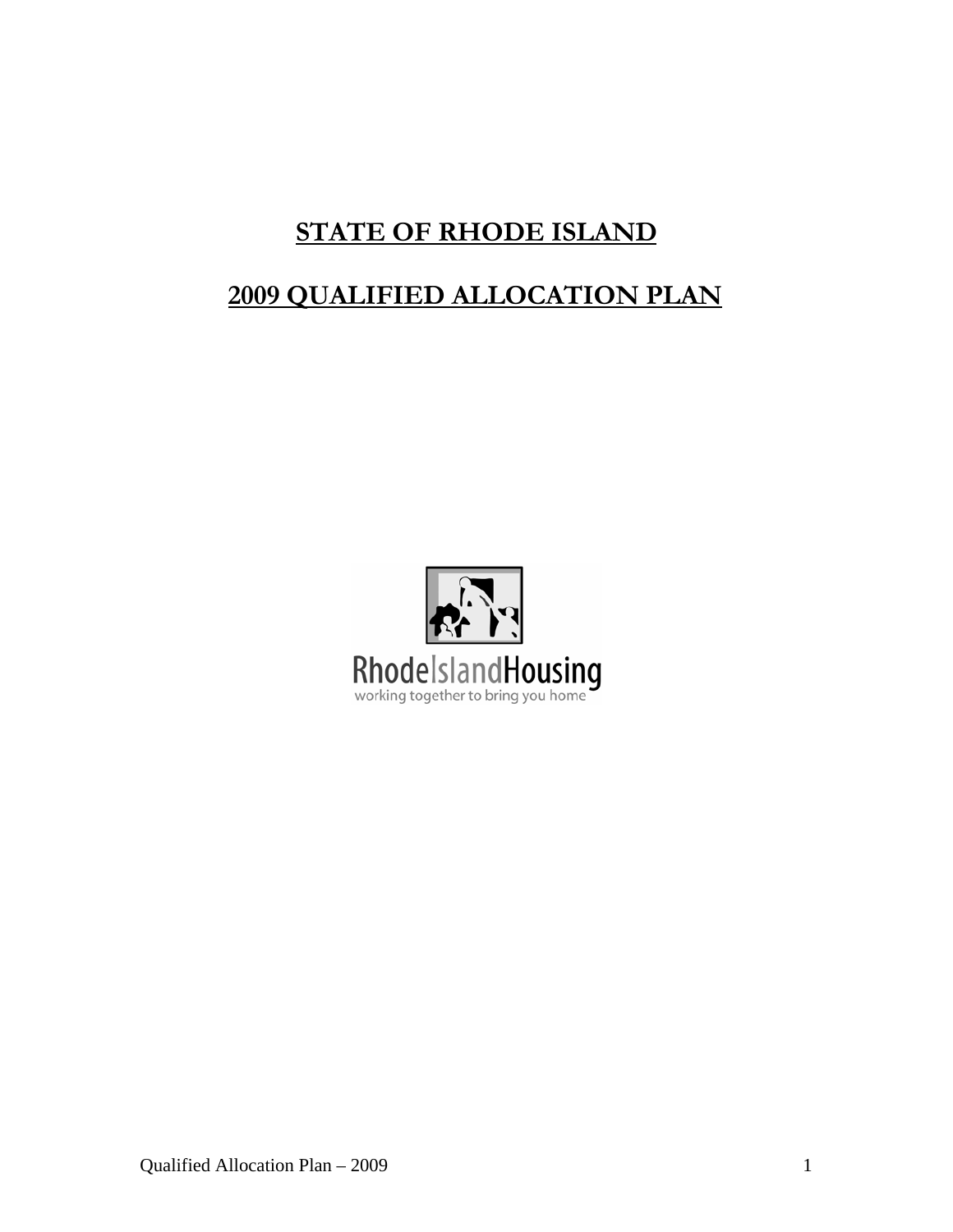# **STATE OF RHODE ISLAND**

# **2009 QUALIFIED ALLOCATION PLAN**

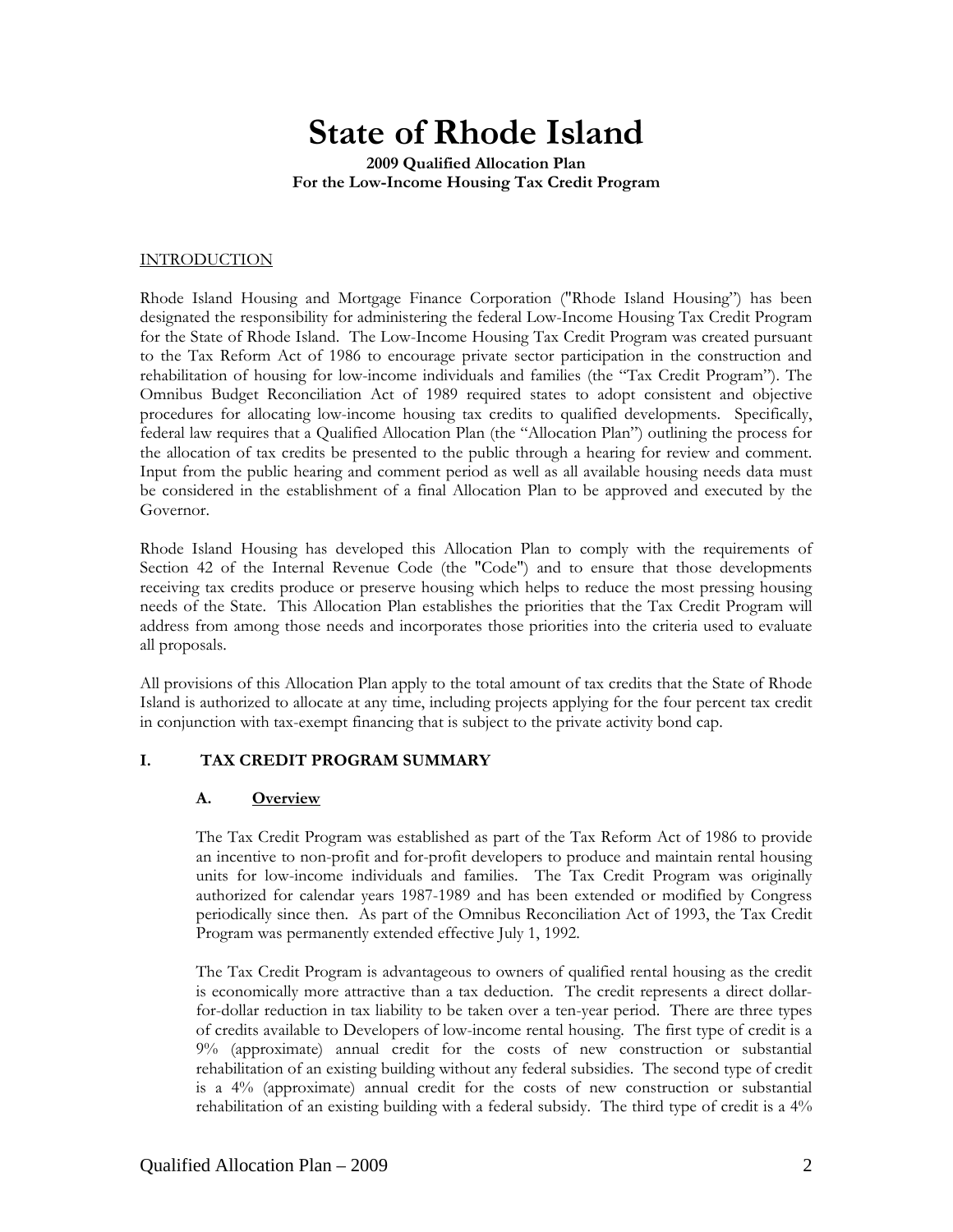# **State of Rhode Island**

**2009 Qualified Allocation Plan For the Low-Income Housing Tax Credit Program** 

#### INTRODUCTION

Rhode Island Housing and Mortgage Finance Corporation ("Rhode Island Housing") has been designated the responsibility for administering the federal Low-Income Housing Tax Credit Program for the State of Rhode Island. The Low-Income Housing Tax Credit Program was created pursuant to the Tax Reform Act of 1986 to encourage private sector participation in the construction and rehabilitation of housing for low-income individuals and families (the "Tax Credit Program"). The Omnibus Budget Reconciliation Act of 1989 required states to adopt consistent and objective procedures for allocating low-income housing tax credits to qualified developments. Specifically, federal law requires that a Qualified Allocation Plan (the "Allocation Plan") outlining the process for the allocation of tax credits be presented to the public through a hearing for review and comment. Input from the public hearing and comment period as well as all available housing needs data must be considered in the establishment of a final Allocation Plan to be approved and executed by the Governor.

Rhode Island Housing has developed this Allocation Plan to comply with the requirements of Section 42 of the Internal Revenue Code (the "Code") and to ensure that those developments receiving tax credits produce or preserve housing which helps to reduce the most pressing housing needs of the State. This Allocation Plan establishes the priorities that the Tax Credit Program will address from among those needs and incorporates those priorities into the criteria used to evaluate all proposals.

All provisions of this Allocation Plan apply to the total amount of tax credits that the State of Rhode Island is authorized to allocate at any time, including projects applying for the four percent tax credit in conjunction with tax-exempt financing that is subject to the private activity bond cap.

#### **I. TAX CREDIT PROGRAM SUMMARY**

#### **A. Overview**

The Tax Credit Program was established as part of the Tax Reform Act of 1986 to provide an incentive to non-profit and for-profit developers to produce and maintain rental housing units for low-income individuals and families. The Tax Credit Program was originally authorized for calendar years 1987-1989 and has been extended or modified by Congress periodically since then. As part of the Omnibus Reconciliation Act of 1993, the Tax Credit Program was permanently extended effective July 1, 1992.

The Tax Credit Program is advantageous to owners of qualified rental housing as the credit is economically more attractive than a tax deduction. The credit represents a direct dollarfor-dollar reduction in tax liability to be taken over a ten-year period. There are three types of credits available to Developers of low-income rental housing. The first type of credit is a 9% (approximate) annual credit for the costs of new construction or substantial rehabilitation of an existing building without any federal subsidies. The second type of credit is a 4% (approximate) annual credit for the costs of new construction or substantial rehabilitation of an existing building with a federal subsidy. The third type of credit is a 4%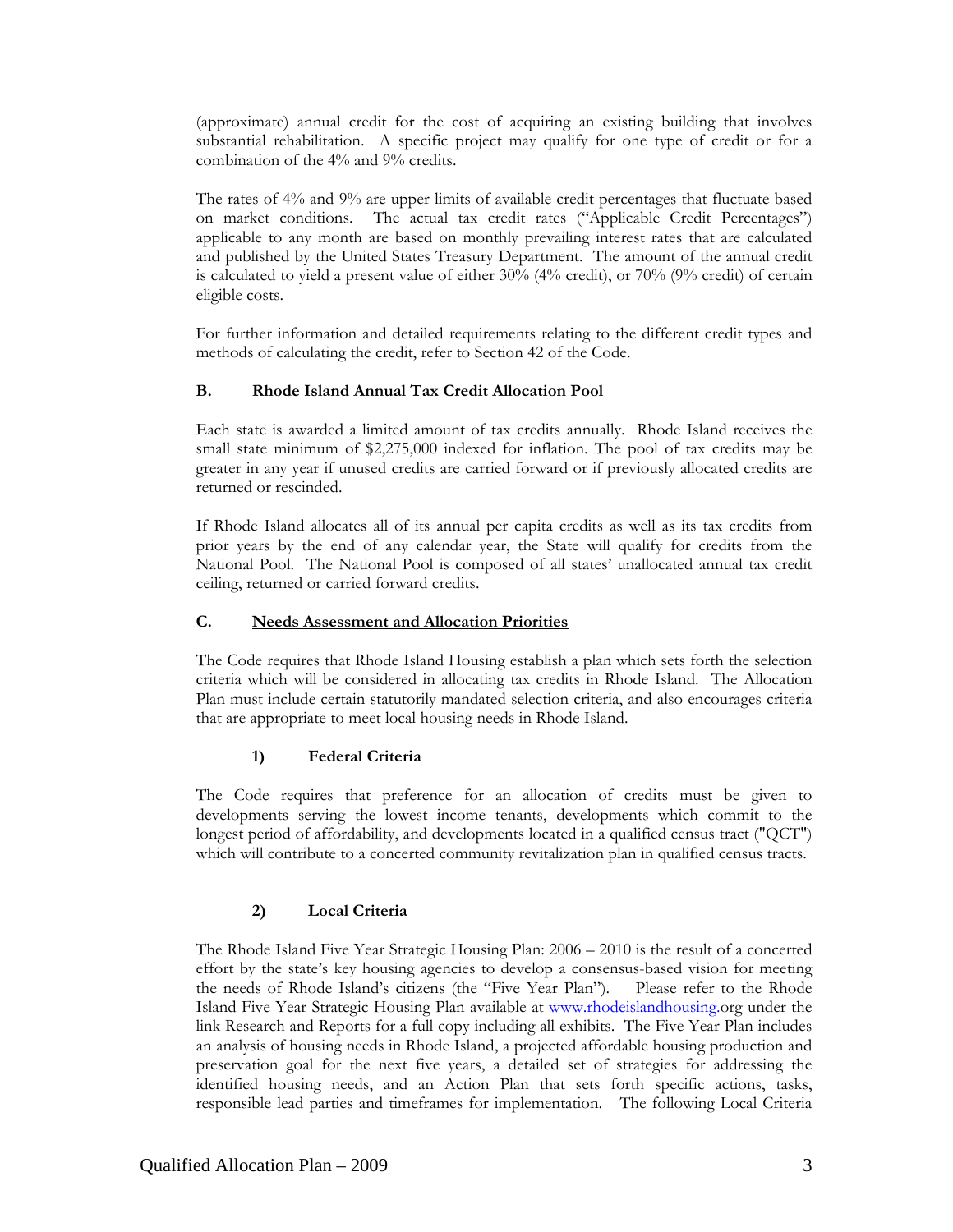(approximate) annual credit for the cost of acquiring an existing building that involves substantial rehabilitation. A specific project may qualify for one type of credit or for a combination of the 4% and 9% credits.

The rates of 4% and 9% are upper limits of available credit percentages that fluctuate based on market conditions. The actual tax credit rates ("Applicable Credit Percentages") applicable to any month are based on monthly prevailing interest rates that are calculated and published by the United States Treasury Department. The amount of the annual credit is calculated to yield a present value of either  $30\%$  ( $4\%$  credit), or  $70\%$  ( $9\%$  credit) of certain eligible costs.

For further information and detailed requirements relating to the different credit types and methods of calculating the credit, refer to Section 42 of the Code.

#### **B. Rhode Island Annual Tax Credit Allocation Pool**

Each state is awarded a limited amount of tax credits annually. Rhode Island receives the small state minimum of \$2,275,000 indexed for inflation. The pool of tax credits may be greater in any year if unused credits are carried forward or if previously allocated credits are returned or rescinded.

If Rhode Island allocates all of its annual per capita credits as well as its tax credits from prior years by the end of any calendar year, the State will qualify for credits from the National Pool. The National Pool is composed of all states' unallocated annual tax credit ceiling, returned or carried forward credits.

#### **C. Needs Assessment and Allocation Priorities**

The Code requires that Rhode Island Housing establish a plan which sets forth the selection criteria which will be considered in allocating tax credits in Rhode Island. The Allocation Plan must include certain statutorily mandated selection criteria, and also encourages criteria that are appropriate to meet local housing needs in Rhode Island.

#### **1) Federal Criteria**

The Code requires that preference for an allocation of credits must be given to developments serving the lowest income tenants, developments which commit to the longest period of affordability, and developments located in a qualified census tract ("QCT") which will contribute to a concerted community revitalization plan in qualified census tracts.

#### **2) Local Criteria**

The Rhode Island Five Year Strategic Housing Plan: 2006 – 2010 is the result of a concerted effort by the state's key housing agencies to develop a consensus-based vision for meeting the needs of Rhode Island's citizens (the "Five Year Plan"). Please refer to the Rhode Island Five Year Strategic Housing Plan available at [www.rhodeislandhousing.o](http://www.rhodeislandhousing./)rg under the link Research and Reports for a full copy including all exhibits. The Five Year Plan includes an analysis of housing needs in Rhode Island, a projected affordable housing production and preservation goal for the next five years, a detailed set of strategies for addressing the identified housing needs, and an Action Plan that sets forth specific actions, tasks, responsible lead parties and timeframes for implementation. The following Local Criteria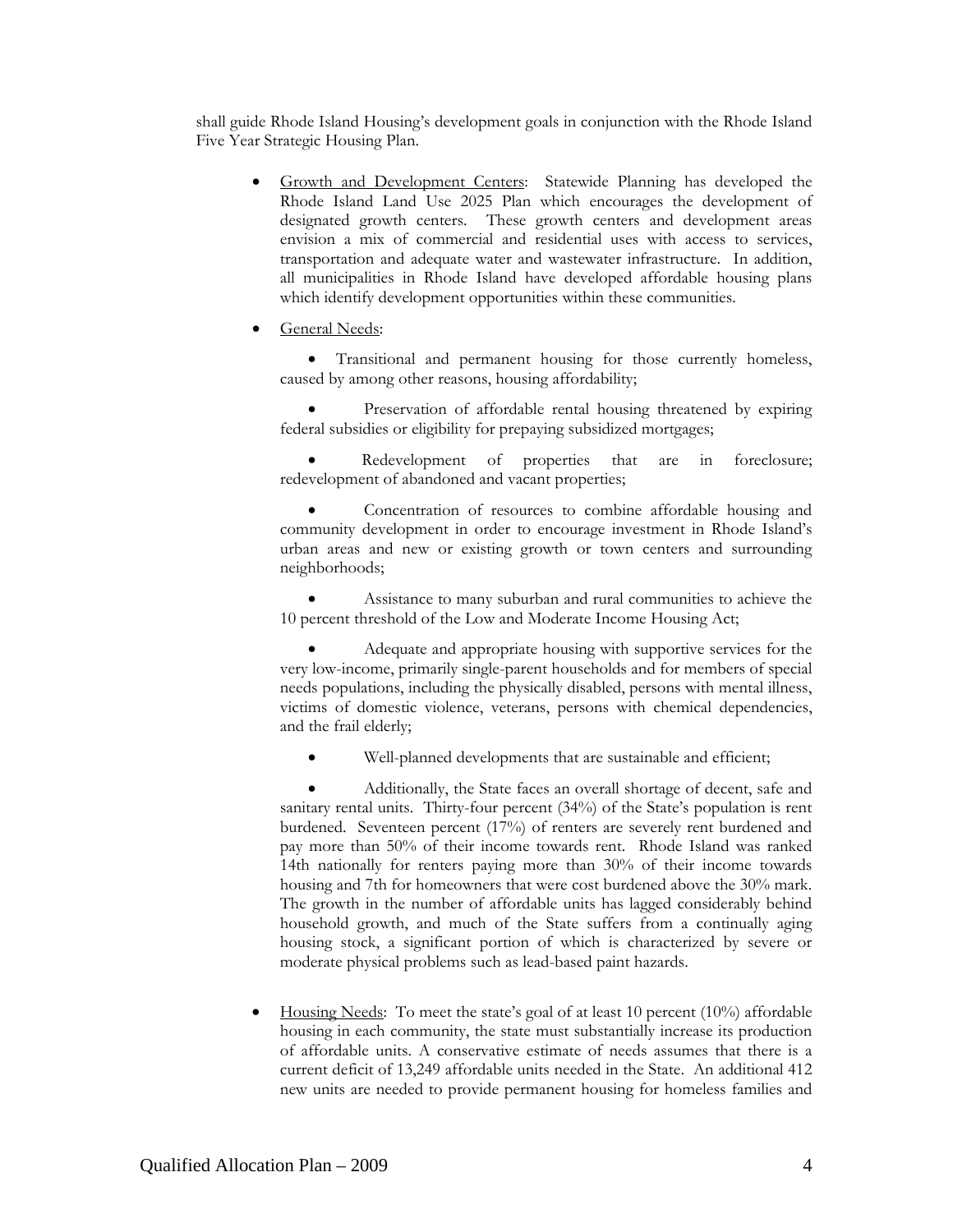shall guide Rhode Island Housing's development goals in conjunction with the Rhode Island Five Year Strategic Housing Plan.

- Growth and Development Centers: Statewide Planning has developed the Rhode Island Land Use 2025 Plan which encourages the development of designated growth centers. These growth centers and development areas envision a mix of commercial and residential uses with access to services, transportation and adequate water and wastewater infrastructure. In addition, all municipalities in Rhode Island have developed affordable housing plans which identify development opportunities within these communities.
- General Needs:

• Transitional and permanent housing for those currently homeless, caused by among other reasons, housing affordability;

Preservation of affordable rental housing threatened by expiring federal subsidies or eligibility for prepaying subsidized mortgages;

Redevelopment of properties that are in foreclosure; redevelopment of abandoned and vacant properties;

Concentration of resources to combine affordable housing and community development in order to encourage investment in Rhode Island's urban areas and new or existing growth or town centers and surrounding neighborhoods;

Assistance to many suburban and rural communities to achieve the 10 percent threshold of the Low and Moderate Income Housing Act;

• Adequate and appropriate housing with supportive services for the very low-income, primarily single-parent households and for members of special needs populations, including the physically disabled, persons with mental illness, victims of domestic violence, veterans, persons with chemical dependencies, and the frail elderly;

Well-planned developments that are sustainable and efficient;

• Additionally, the State faces an overall shortage of decent, safe and sanitary rental units. Thirty-four percent (34%) of the State's population is rent burdened. Seventeen percent (17%) of renters are severely rent burdened and pay more than 50% of their income towards rent. Rhode Island was ranked 14th nationally for renters paying more than 30% of their income towards housing and 7th for homeowners that were cost burdened above the 30% mark. The growth in the number of affordable units has lagged considerably behind household growth, and much of the State suffers from a continually aging housing stock, a significant portion of which is characterized by severe or moderate physical problems such as lead-based paint hazards.

• Housing Needs: To meet the state's goal of at least 10 percent (10%) affordable housing in each community, the state must substantially increase its production of affordable units. A conservative estimate of needs assumes that there is a current deficit of 13,249 affordable units needed in the State. An additional 412 new units are needed to provide permanent housing for homeless families and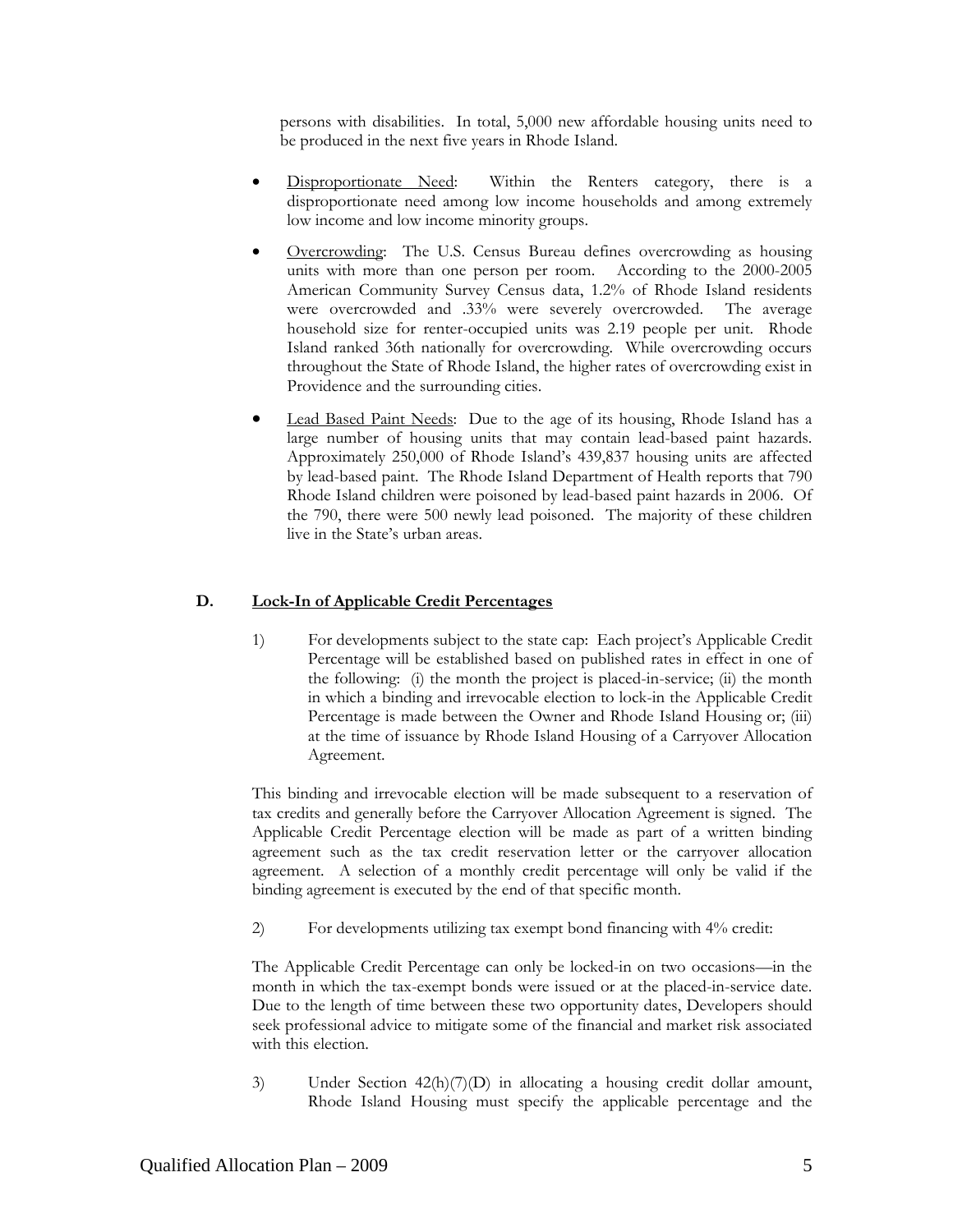persons with disabilities. In total, 5,000 new affordable housing units need to be produced in the next five years in Rhode Island.

- Disproportionate Need: Within the Renters category, there is a disproportionate need among low income households and among extremely low income and low income minority groups.
- Overcrowding: The U.S. Census Bureau defines overcrowding as housing units with more than one person per room. According to the 2000-2005 American Community Survey Census data, 1.2% of Rhode Island residents were overcrowded and .33% were severely overcrowded. The average household size for renter-occupied units was 2.19 people per unit. Rhode Island ranked 36th nationally for overcrowding. While overcrowding occurs throughout the State of Rhode Island, the higher rates of overcrowding exist in Providence and the surrounding cities.
- Lead Based Paint Needs: Due to the age of its housing, Rhode Island has a large number of housing units that may contain lead-based paint hazards. Approximately 250,000 of Rhode Island's 439,837 housing units are affected by lead-based paint. The Rhode Island Department of Health reports that 790 Rhode Island children were poisoned by lead-based paint hazards in 2006. Of the 790, there were 500 newly lead poisoned. The majority of these children live in the State's urban areas.

#### **D. Lock-In of Applicable Credit Percentages**

1) For developments subject to the state cap: Each project's Applicable Credit Percentage will be established based on published rates in effect in one of the following: (i) the month the project is placed-in-service; (ii) the month in which a binding and irrevocable election to lock-in the Applicable Credit Percentage is made between the Owner and Rhode Island Housing or; (iii) at the time of issuance by Rhode Island Housing of a Carryover Allocation Agreement.

This binding and irrevocable election will be made subsequent to a reservation of tax credits and generally before the Carryover Allocation Agreement is signed. The Applicable Credit Percentage election will be made as part of a written binding agreement such as the tax credit reservation letter or the carryover allocation agreement. A selection of a monthly credit percentage will only be valid if the binding agreement is executed by the end of that specific month.

2) For developments utilizing tax exempt bond financing with 4% credit:

The Applicable Credit Percentage can only be locked-in on two occasions—in the month in which the tax-exempt bonds were issued or at the placed-in-service date. Due to the length of time between these two opportunity dates, Developers should seek professional advice to mitigate some of the financial and market risk associated with this election.

3) Under Section 42(h)(7)(D) in allocating a housing credit dollar amount, Rhode Island Housing must specify the applicable percentage and the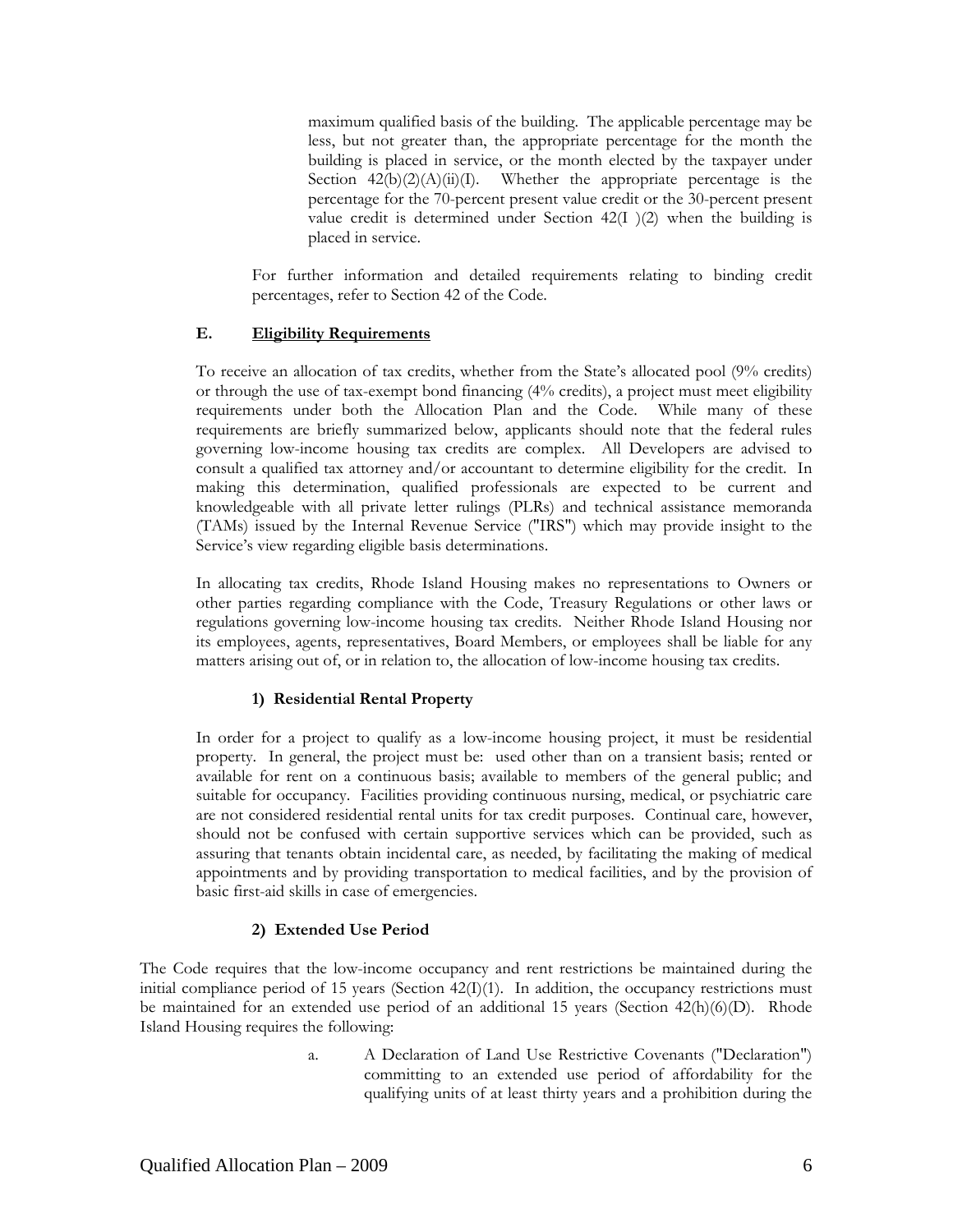maximum qualified basis of the building. The applicable percentage may be less, but not greater than, the appropriate percentage for the month the building is placed in service, or the month elected by the taxpayer under Section  $42(b)(2)(A)(ii)(I)$ . Whether the appropriate percentage is the percentage for the 70-percent present value credit or the 30-percent present value credit is determined under Section 42(I )(2) when the building is placed in service.

For further information and detailed requirements relating to binding credit percentages, refer to Section 42 of the Code.

#### **E. Eligibility Requirements**

To receive an allocation of tax credits, whether from the State's allocated pool (9% credits) or through the use of tax-exempt bond financing (4% credits), a project must meet eligibility requirements under both the Allocation Plan and the Code. While many of these requirements are briefly summarized below, applicants should note that the federal rules governing low-income housing tax credits are complex. All Developers are advised to consult a qualified tax attorney and/or accountant to determine eligibility for the credit. In making this determination, qualified professionals are expected to be current and knowledgeable with all private letter rulings (PLRs) and technical assistance memoranda (TAMs) issued by the Internal Revenue Service ("IRS") which may provide insight to the Service's view regarding eligible basis determinations.

In allocating tax credits, Rhode Island Housing makes no representations to Owners or other parties regarding compliance with the Code, Treasury Regulations or other laws or regulations governing low-income housing tax credits. Neither Rhode Island Housing nor its employees, agents, representatives, Board Members, or employees shall be liable for any matters arising out of, or in relation to, the allocation of low-income housing tax credits.

# **1) Residential Rental Property**

In order for a project to qualify as a low-income housing project, it must be residential property. In general, the project must be: used other than on a transient basis; rented or available for rent on a continuous basis; available to members of the general public; and suitable for occupancy. Facilities providing continuous nursing, medical, or psychiatric care are not considered residential rental units for tax credit purposes. Continual care, however, should not be confused with certain supportive services which can be provided, such as assuring that tenants obtain incidental care, as needed, by facilitating the making of medical appointments and by providing transportation to medical facilities, and by the provision of basic first-aid skills in case of emergencies.

#### **2) Extended Use Period**

The Code requires that the low-income occupancy and rent restrictions be maintained during the initial compliance period of 15 years (Section  $42(I)(1)$ ). In addition, the occupancy restrictions must be maintained for an extended use period of an additional 15 years (Section  $42(h)(6)(D)$ . Rhode Island Housing requires the following:

> a. A Declaration of Land Use Restrictive Covenants ("Declaration") committing to an extended use period of affordability for the qualifying units of at least thirty years and a prohibition during the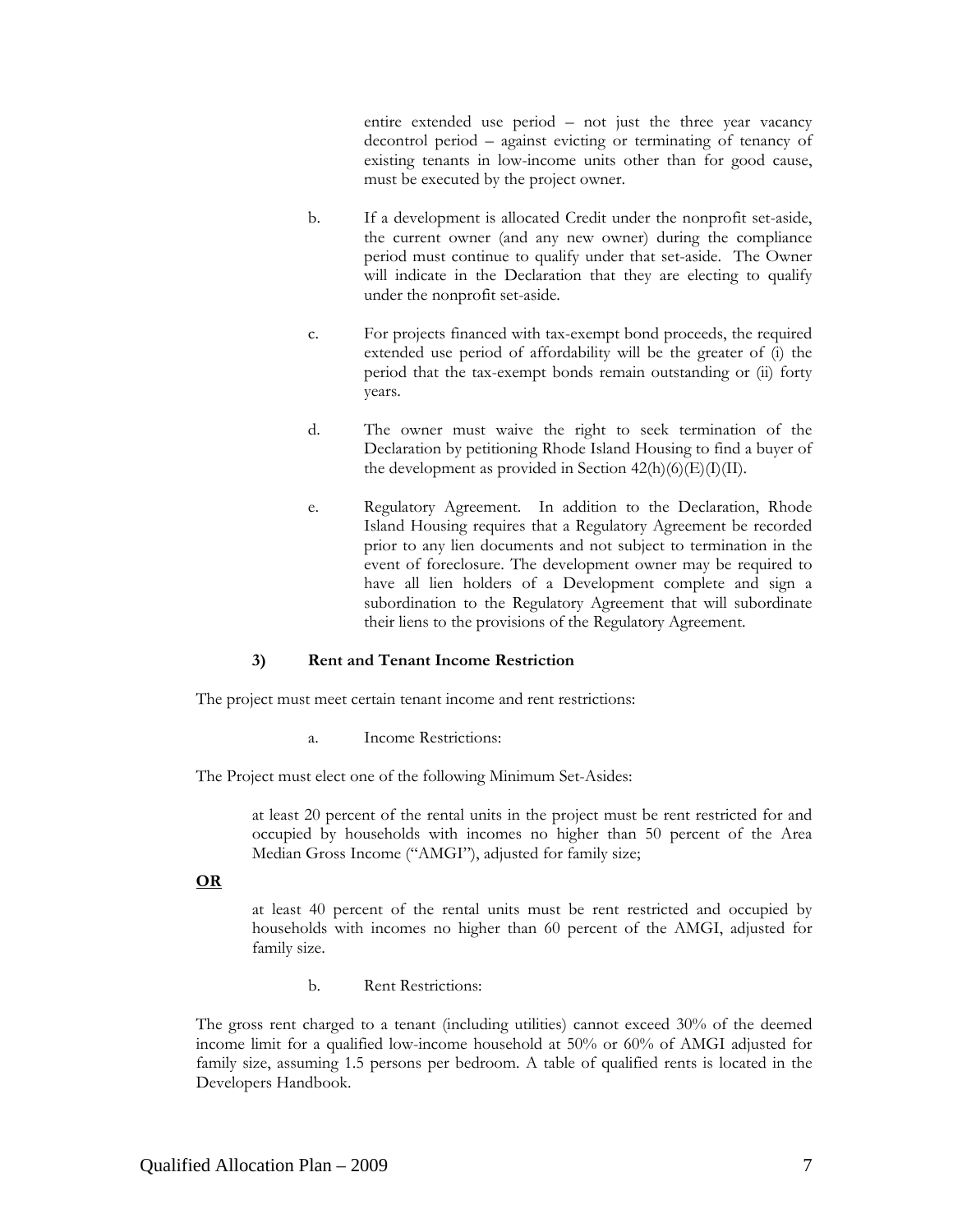entire extended use period – not just the three year vacancy decontrol period – against evicting or terminating of tenancy of existing tenants in low-income units other than for good cause, must be executed by the project owner.

- b. If a development is allocated Credit under the nonprofit set-aside, the current owner (and any new owner) during the compliance period must continue to qualify under that set-aside. The Owner will indicate in the Declaration that they are electing to qualify under the nonprofit set-aside.
- c. For projects financed with tax-exempt bond proceeds, the required extended use period of affordability will be the greater of (i) the period that the tax-exempt bonds remain outstanding or (ii) forty years.
- d. The owner must waive the right to seek termination of the Declaration by petitioning Rhode Island Housing to find a buyer of the development as provided in Section  $42(h)(6)(E)(I)(II)$ .
- e. Regulatory Agreement. In addition to the Declaration, Rhode Island Housing requires that a Regulatory Agreement be recorded prior to any lien documents and not subject to termination in the event of foreclosure. The development owner may be required to have all lien holders of a Development complete and sign a subordination to the Regulatory Agreement that will subordinate their liens to the provisions of the Regulatory Agreement.

#### **3) Rent and Tenant Income Restriction**

The project must meet certain tenant income and rent restrictions:

a. Income Restrictions:

The Project must elect one of the following Minimum Set-Asides:

at least 20 percent of the rental units in the project must be rent restricted for and occupied by households with incomes no higher than 50 percent of the Area Median Gross Income ("AMGI"), adjusted for family size;

**OR**

at least 40 percent of the rental units must be rent restricted and occupied by households with incomes no higher than 60 percent of the AMGI, adjusted for family size.

b. Rent Restrictions:

The gross rent charged to a tenant (including utilities) cannot exceed 30% of the deemed income limit for a qualified low-income household at 50% or 60% of AMGI adjusted for family size, assuming 1.5 persons per bedroom. A table of qualified rents is located in the Developers Handbook.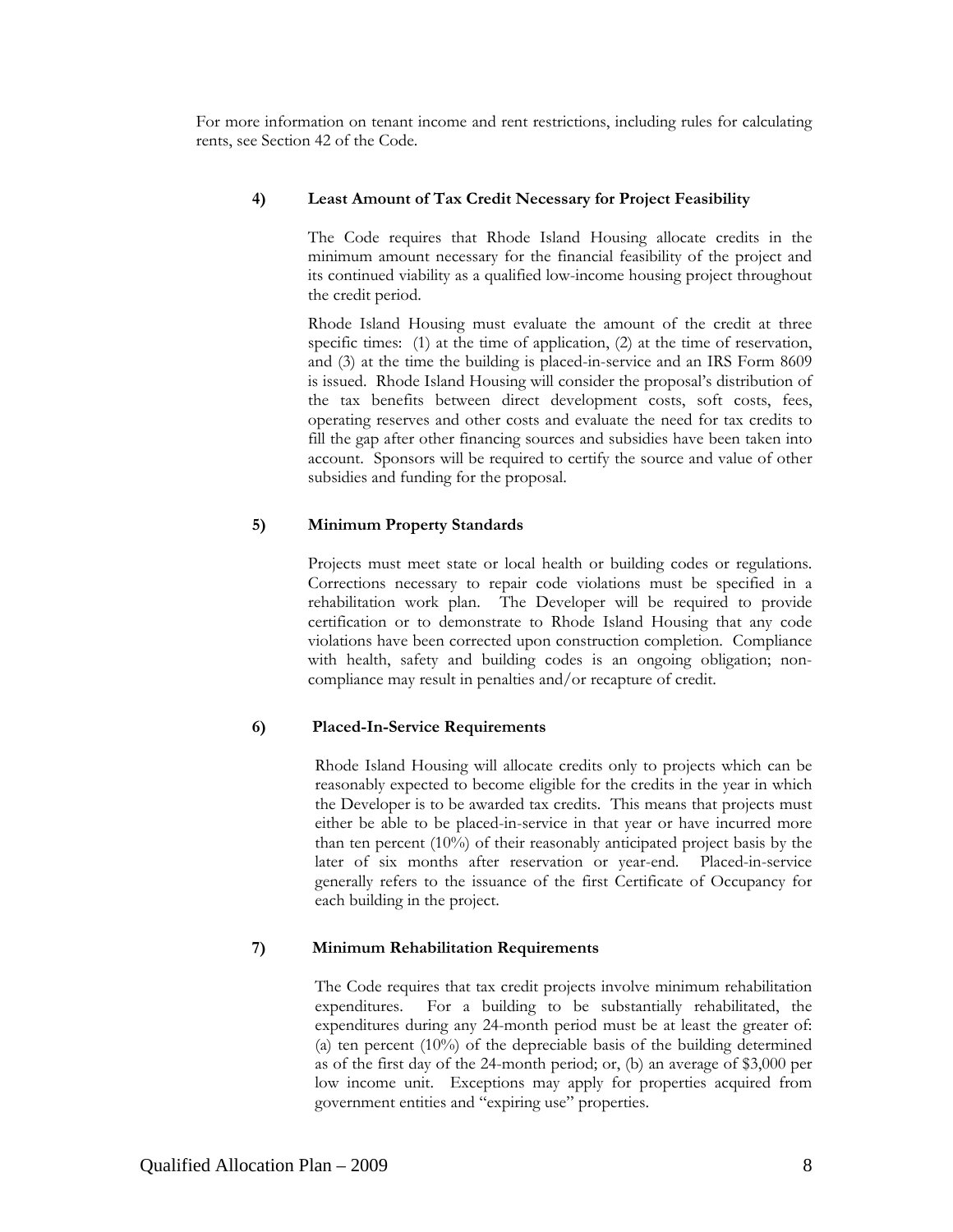For more information on tenant income and rent restrictions, including rules for calculating rents, see Section 42 of the Code.

#### **4) Least Amount of Tax Credit Necessary for Project Feasibility**

 The Code requires that Rhode Island Housing allocate credits in the minimum amount necessary for the financial feasibility of the project and its continued viability as a qualified low-income housing project throughout the credit period.

 Rhode Island Housing must evaluate the amount of the credit at three specific times: (1) at the time of application, (2) at the time of reservation, and (3) at the time the building is placed-in-service and an IRS Form 8609 is issued. Rhode Island Housing will consider the proposal's distribution of the tax benefits between direct development costs, soft costs, fees, operating reserves and other costs and evaluate the need for tax credits to fill the gap after other financing sources and subsidies have been taken into account. Sponsors will be required to certify the source and value of other subsidies and funding for the proposal.

#### **5) Minimum Property Standards**

Projects must meet state or local health or building codes or regulations. Corrections necessary to repair code violations must be specified in a rehabilitation work plan. The Developer will be required to provide certification or to demonstrate to Rhode Island Housing that any code violations have been corrected upon construction completion. Compliance with health, safety and building codes is an ongoing obligation; noncompliance may result in penalties and/or recapture of credit.

#### **6) Placed-In-Service Requirements**

Rhode Island Housing will allocate credits only to projects which can be reasonably expected to become eligible for the credits in the year in which the Developer is to be awarded tax credits. This means that projects must either be able to be placed-in-service in that year or have incurred more than ten percent (10%) of their reasonably anticipated project basis by the later of six months after reservation or year-end. Placed-in-service generally refers to the issuance of the first Certificate of Occupancy for each building in the project.

#### **7) Minimum Rehabilitation Requirements**

The Code requires that tax credit projects involve minimum rehabilitation expenditures. For a building to be substantially rehabilitated, the expenditures during any 24-month period must be at least the greater of: (a) ten percent (10%) of the depreciable basis of the building determined as of the first day of the 24-month period; or, (b) an average of \$3,000 per low income unit. Exceptions may apply for properties acquired from government entities and "expiring use" properties.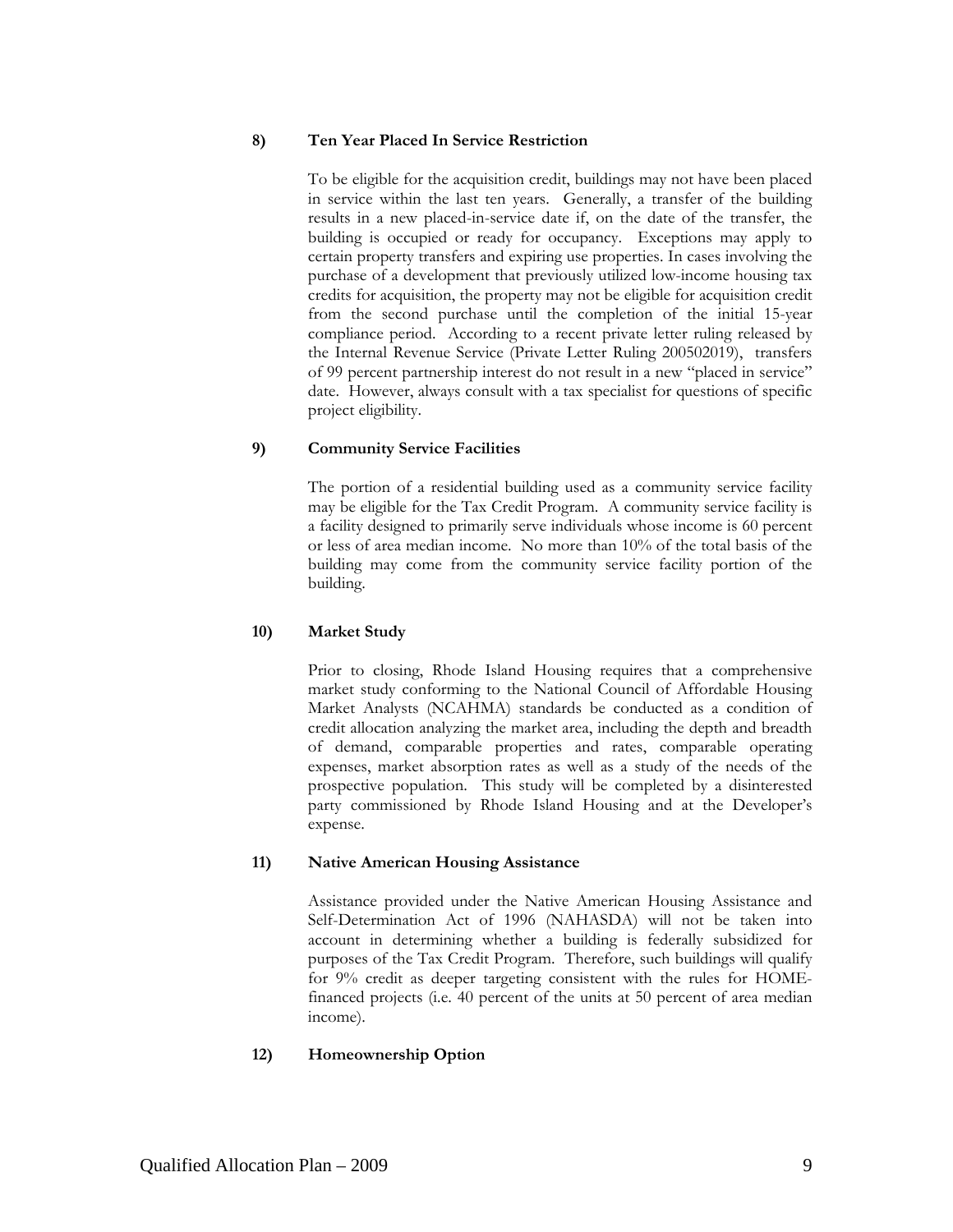#### **8) Ten Year Placed In Service Restriction**

To be eligible for the acquisition credit, buildings may not have been placed in service within the last ten years. Generally, a transfer of the building results in a new placed-in-service date if, on the date of the transfer, the building is occupied or ready for occupancy. Exceptions may apply to certain property transfers and expiring use properties. In cases involving the purchase of a development that previously utilized low-income housing tax credits for acquisition, the property may not be eligible for acquisition credit from the second purchase until the completion of the initial 15-year compliance period. According to a recent private letter ruling released by the Internal Revenue Service (Private Letter Ruling 200502019), transfers of 99 percent partnership interest do not result in a new "placed in service" date. However, always consult with a tax specialist for questions of specific project eligibility.

#### **9) Community Service Facilities**

The portion of a residential building used as a community service facility may be eligible for the Tax Credit Program. A community service facility is a facility designed to primarily serve individuals whose income is 60 percent or less of area median income. No more than 10% of the total basis of the building may come from the community service facility portion of the building.

#### **10) Market Study**

Prior to closing, Rhode Island Housing requires that a comprehensive market study conforming to the National Council of Affordable Housing Market Analysts (NCAHMA) standards be conducted as a condition of credit allocation analyzing the market area, including the depth and breadth of demand, comparable properties and rates, comparable operating expenses, market absorption rates as well as a study of the needs of the prospective population. This study will be completed by a disinterested party commissioned by Rhode Island Housing and at the Developer's expense.

#### **11) Native American Housing Assistance**

Assistance provided under the Native American Housing Assistance and Self-Determination Act of 1996 (NAHASDA) will not be taken into account in determining whether a building is federally subsidized for purposes of the Tax Credit Program. Therefore, such buildings will qualify for 9% credit as deeper targeting consistent with the rules for HOMEfinanced projects (i.e. 40 percent of the units at 50 percent of area median income).

#### **12) Homeownership Option**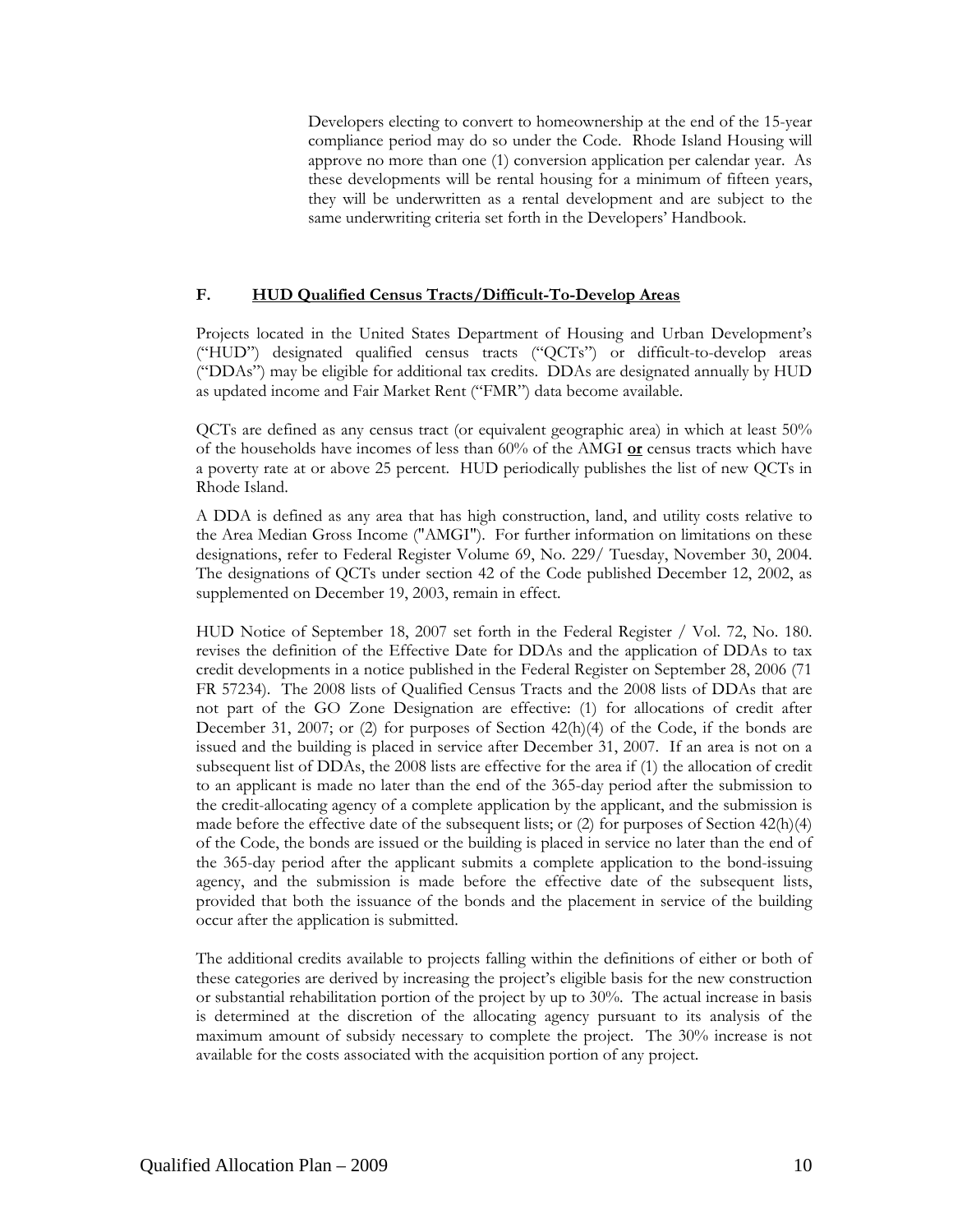Developers electing to convert to homeownership at the end of the 15-year compliance period may do so under the Code. Rhode Island Housing will approve no more than one (1) conversion application per calendar year. As these developments will be rental housing for a minimum of fifteen years, they will be underwritten as a rental development and are subject to the same underwriting criteria set forth in the Developers' Handbook.

#### **F. HUD Qualified Census Tracts/Difficult-To-Develop Areas**

Projects located in the United States Department of Housing and Urban Development's ("HUD") designated qualified census tracts ("QCTs") or difficult-to-develop areas ("DDAs") may be eligible for additional tax credits. DDAs are designated annually by HUD as updated income and Fair Market Rent ("FMR") data become available.

QCTs are defined as any census tract (or equivalent geographic area) in which at least 50% of the households have incomes of less than 60% of the AMGI **or** census tracts which have a poverty rate at or above 25 percent. HUD periodically publishes the list of new QCTs in Rhode Island.

A DDA is defined as any area that has high construction, land, and utility costs relative to the Area Median Gross Income ("AMGI"). For further information on limitations on these designations, refer to Federal Register Volume 69, No. 229/ Tuesday, November 30, 2004. The designations of QCTs under section 42 of the Code published December 12, 2002, as supplemented on December 19, 2003, remain in effect.

HUD Notice of September 18, 2007 set forth in the Federal Register / Vol. 72, No. 180. revises the definition of the Effective Date for DDAs and the application of DDAs to tax credit developments in a notice published in the Federal Register on September 28, 2006 (71 FR 57234). The 2008 lists of Qualified Census Tracts and the 2008 lists of DDAs that are not part of the GO Zone Designation are effective: (1) for allocations of credit after December 31, 2007; or (2) for purposes of Section 42(h)(4) of the Code, if the bonds are issued and the building is placed in service after December 31, 2007. If an area is not on a subsequent list of DDAs, the 2008 lists are effective for the area if (1) the allocation of credit to an applicant is made no later than the end of the 365-day period after the submission to the credit-allocating agency of a complete application by the applicant, and the submission is made before the effective date of the subsequent lists; or  $(2)$  for purposes of Section 42(h)(4) of the Code, the bonds are issued or the building is placed in service no later than the end of the 365-day period after the applicant submits a complete application to the bond-issuing agency, and the submission is made before the effective date of the subsequent lists, provided that both the issuance of the bonds and the placement in service of the building occur after the application is submitted.

The additional credits available to projects falling within the definitions of either or both of these categories are derived by increasing the project's eligible basis for the new construction or substantial rehabilitation portion of the project by up to 30%. The actual increase in basis is determined at the discretion of the allocating agency pursuant to its analysis of the maximum amount of subsidy necessary to complete the project. The 30% increase is not available for the costs associated with the acquisition portion of any project.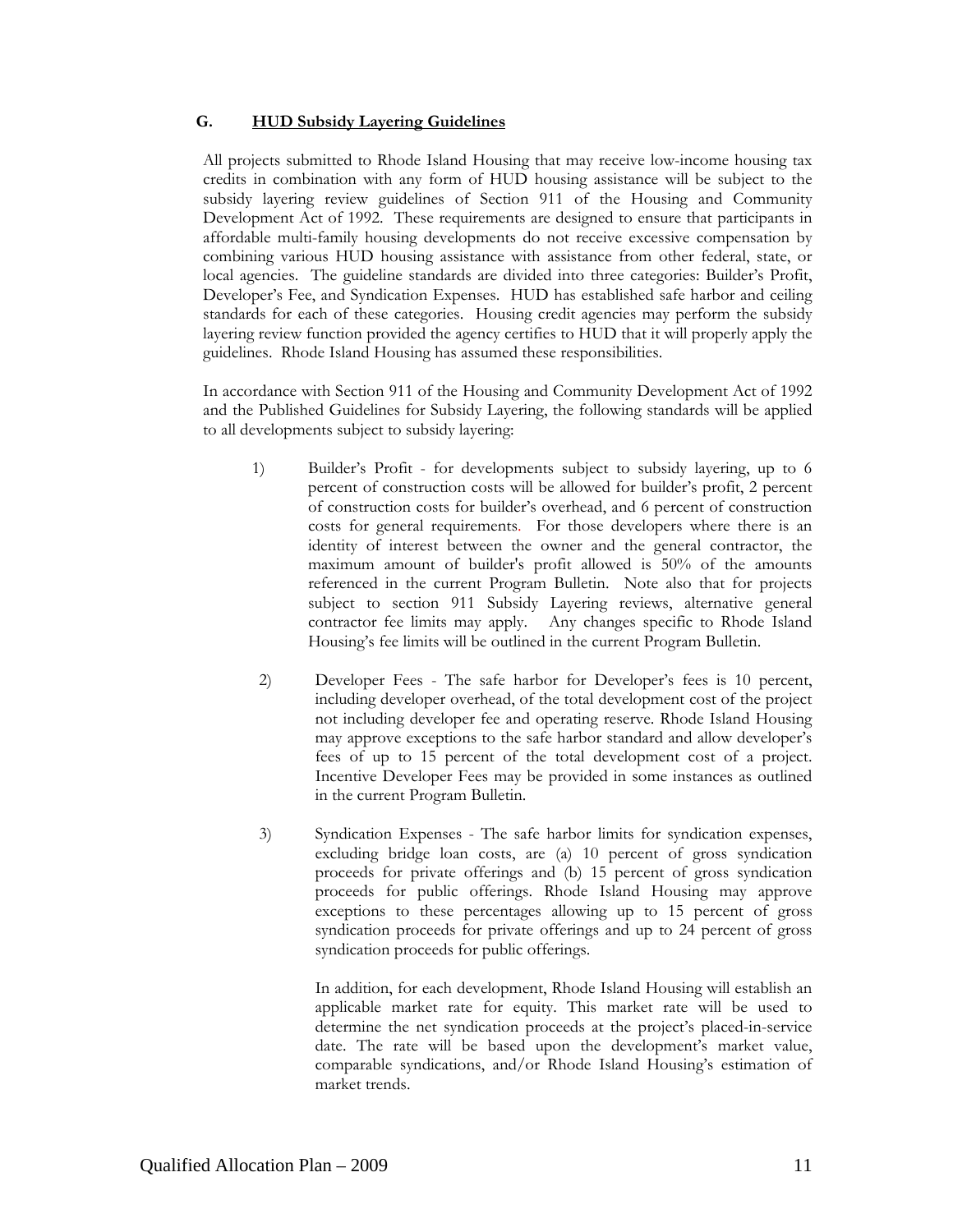#### **G. HUD Subsidy Layering Guidelines**

All projects submitted to Rhode Island Housing that may receive low-income housing tax credits in combination with any form of HUD housing assistance will be subject to the subsidy layering review guidelines of Section 911 of the Housing and Community Development Act of 1992. These requirements are designed to ensure that participants in affordable multi-family housing developments do not receive excessive compensation by combining various HUD housing assistance with assistance from other federal, state, or local agencies. The guideline standards are divided into three categories: Builder's Profit, Developer's Fee, and Syndication Expenses. HUD has established safe harbor and ceiling standards for each of these categories. Housing credit agencies may perform the subsidy layering review function provided the agency certifies to HUD that it will properly apply the guidelines. Rhode Island Housing has assumed these responsibilities.

In accordance with Section 911 of the Housing and Community Development Act of 1992 and the Published Guidelines for Subsidy Layering, the following standards will be applied to all developments subject to subsidy layering:

- 1) Builder's Profit for developments subject to subsidy layering, up to 6 percent of construction costs will be allowed for builder's profit, 2 percent of construction costs for builder's overhead, and 6 percent of construction costs for general requirements. For those developers where there is an identity of interest between the owner and the general contractor, the maximum amount of builder's profit allowed is 50% of the amounts referenced in the current Program Bulletin. Note also that for projects subject to section 911 Subsidy Layering reviews, alternative general contractor fee limits may apply. Any changes specific to Rhode Island Housing's fee limits will be outlined in the current Program Bulletin.
- 2) Developer Fees The safe harbor for Developer's fees is 10 percent, including developer overhead, of the total development cost of the project not including developer fee and operating reserve. Rhode Island Housing may approve exceptions to the safe harbor standard and allow developer's fees of up to 15 percent of the total development cost of a project. Incentive Developer Fees may be provided in some instances as outlined in the current Program Bulletin.
- 3) Syndication Expenses The safe harbor limits for syndication expenses, excluding bridge loan costs, are (a) 10 percent of gross syndication proceeds for private offerings and (b) 15 percent of gross syndication proceeds for public offerings. Rhode Island Housing may approve exceptions to these percentages allowing up to 15 percent of gross syndication proceeds for private offerings and up to 24 percent of gross syndication proceeds for public offerings.

 In addition, for each development, Rhode Island Housing will establish an applicable market rate for equity. This market rate will be used to determine the net syndication proceeds at the project's placed-in-service date. The rate will be based upon the development's market value, comparable syndications, and/or Rhode Island Housing's estimation of market trends.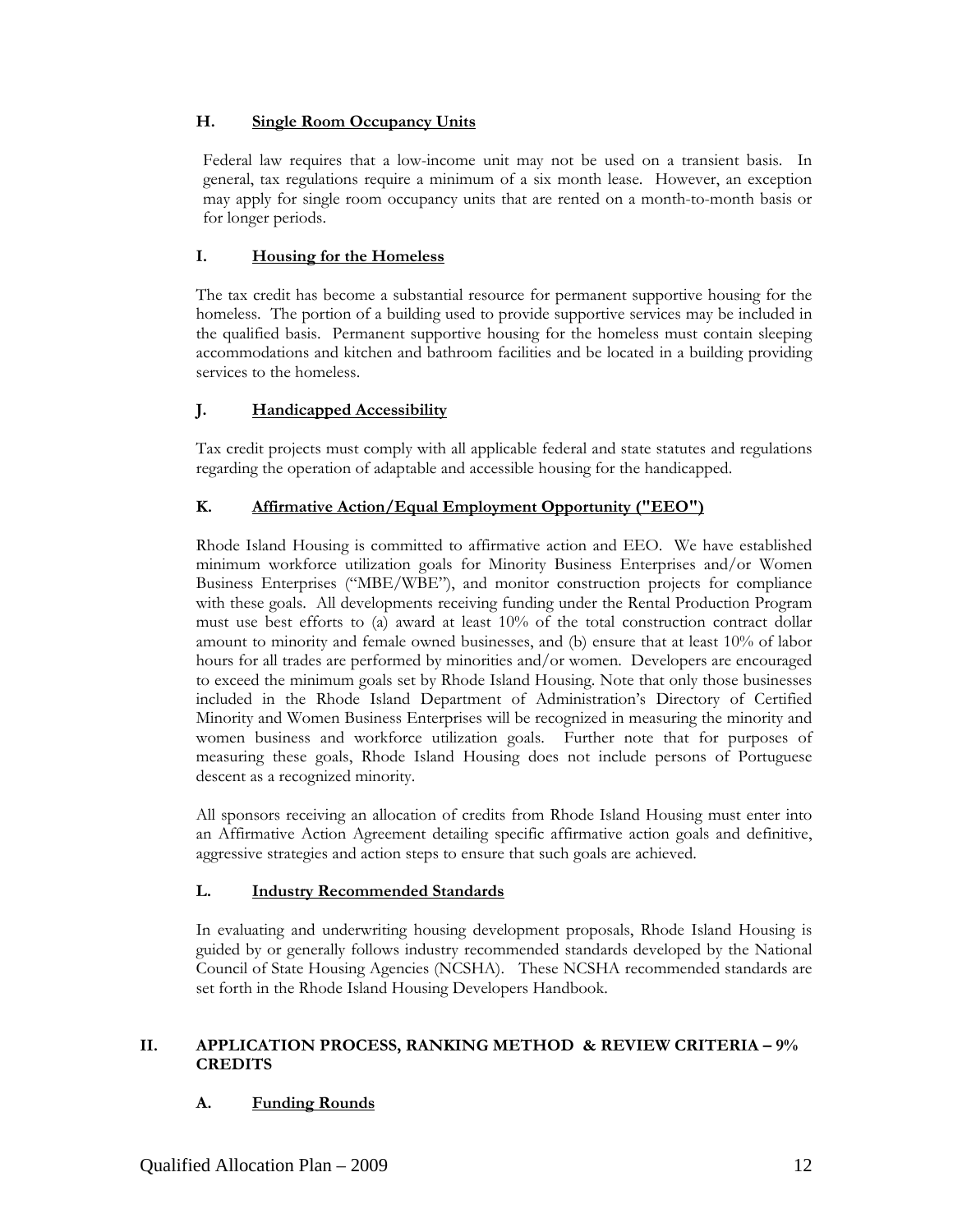#### **H. Single Room Occupancy Units**

Federal law requires that a low-income unit may not be used on a transient basis. In general, tax regulations require a minimum of a six month lease. However, an exception may apply for single room occupancy units that are rented on a month-to-month basis or for longer periods.

## **I. Housing for the Homeless**

The tax credit has become a substantial resource for permanent supportive housing for the homeless. The portion of a building used to provide supportive services may be included in the qualified basis. Permanent supportive housing for the homeless must contain sleeping accommodations and kitchen and bathroom facilities and be located in a building providing services to the homeless.

## **J. Handicapped Accessibility**

Tax credit projects must comply with all applicable federal and state statutes and regulations regarding the operation of adaptable and accessible housing for the handicapped.

## **K. Affirmative Action/Equal Employment Opportunity ("EEO")**

Rhode Island Housing is committed to affirmative action and EEO. We have established minimum workforce utilization goals for Minority Business Enterprises and/or Women Business Enterprises ("MBE/WBE"), and monitor construction projects for compliance with these goals. All developments receiving funding under the Rental Production Program must use best efforts to (a) award at least 10% of the total construction contract dollar amount to minority and female owned businesses, and (b) ensure that at least 10% of labor hours for all trades are performed by minorities and/or women. Developers are encouraged to exceed the minimum goals set by Rhode Island Housing. Note that only those businesses included in the Rhode Island Department of Administration's Directory of Certified Minority and Women Business Enterprises will be recognized in measuring the minority and women business and workforce utilization goals. Further note that for purposes of measuring these goals, Rhode Island Housing does not include persons of Portuguese descent as a recognized minority.

All sponsors receiving an allocation of credits from Rhode Island Housing must enter into an Affirmative Action Agreement detailing specific affirmative action goals and definitive, aggressive strategies and action steps to ensure that such goals are achieved.

#### **L. Industry Recommended Standards**

In evaluating and underwriting housing development proposals, Rhode Island Housing is guided by or generally follows industry recommended standards developed by the National Council of State Housing Agencies (NCSHA). These NCSHA recommended standards are set forth in the Rhode Island Housing Developers Handbook.

#### **II. APPLICATION PROCESS, RANKING METHOD & REVIEW CRITERIA – 9% CREDITS**

# **A. Funding Rounds**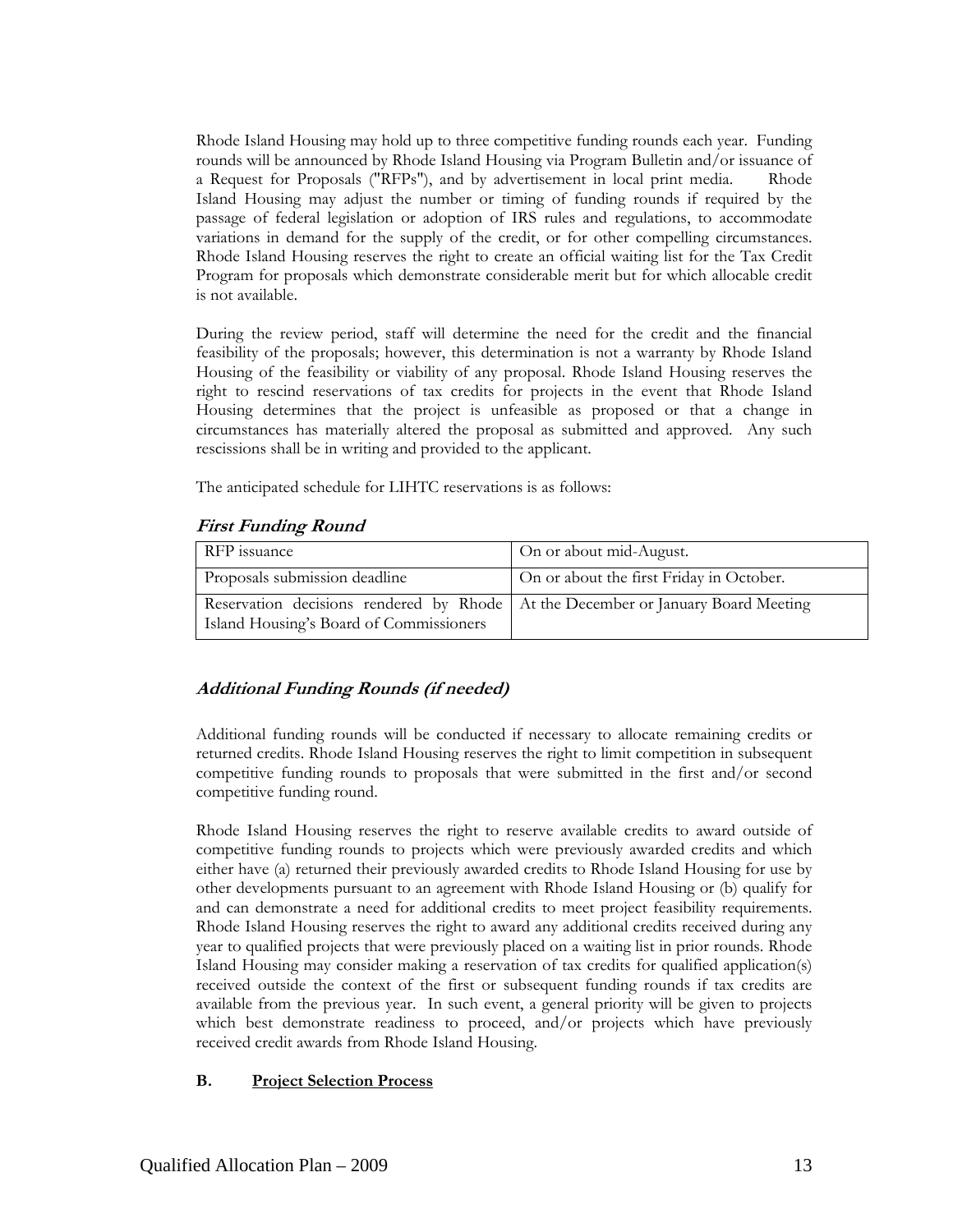Rhode Island Housing may hold up to three competitive funding rounds each year. Funding rounds will be announced by Rhode Island Housing via Program Bulletin and/or issuance of a Request for Proposals ("RFPs"), and by advertisement in local print media. Rhode Island Housing may adjust the number or timing of funding rounds if required by the passage of federal legislation or adoption of IRS rules and regulations, to accommodate variations in demand for the supply of the credit, or for other compelling circumstances. Rhode Island Housing reserves the right to create an official waiting list for the Tax Credit Program for proposals which demonstrate considerable merit but for which allocable credit is not available.

During the review period, staff will determine the need for the credit and the financial feasibility of the proposals; however, this determination is not a warranty by Rhode Island Housing of the feasibility or viability of any proposal. Rhode Island Housing reserves the right to rescind reservations of tax credits for projects in the event that Rhode Island Housing determines that the project is unfeasible as proposed or that a change in circumstances has materially altered the proposal as submitted and approved. Any such rescissions shall be in writing and provided to the applicant.

The anticipated schedule for LIHTC reservations is as follows:

## **First Funding Round**

| RFP issuance                                                                                                                  | On or about mid-August.                  |
|-------------------------------------------------------------------------------------------------------------------------------|------------------------------------------|
| Proposals submission deadline                                                                                                 | On or about the first Friday in October. |
| Reservation decisions rendered by Rhode   At the December or January Board Meeting<br>Island Housing's Board of Commissioners |                                          |

# **Additional Funding Rounds (if needed)**

Additional funding rounds will be conducted if necessary to allocate remaining credits or returned credits. Rhode Island Housing reserves the right to limit competition in subsequent competitive funding rounds to proposals that were submitted in the first and/or second competitive funding round.

Rhode Island Housing reserves the right to reserve available credits to award outside of competitive funding rounds to projects which were previously awarded credits and which either have (a) returned their previously awarded credits to Rhode Island Housing for use by other developments pursuant to an agreement with Rhode Island Housing or (b) qualify for and can demonstrate a need for additional credits to meet project feasibility requirements. Rhode Island Housing reserves the right to award any additional credits received during any year to qualified projects that were previously placed on a waiting list in prior rounds. Rhode Island Housing may consider making a reservation of tax credits for qualified application(s) received outside the context of the first or subsequent funding rounds if tax credits are available from the previous year. In such event, a general priority will be given to projects which best demonstrate readiness to proceed, and/or projects which have previously received credit awards from Rhode Island Housing.

#### **B. Project Selection Process**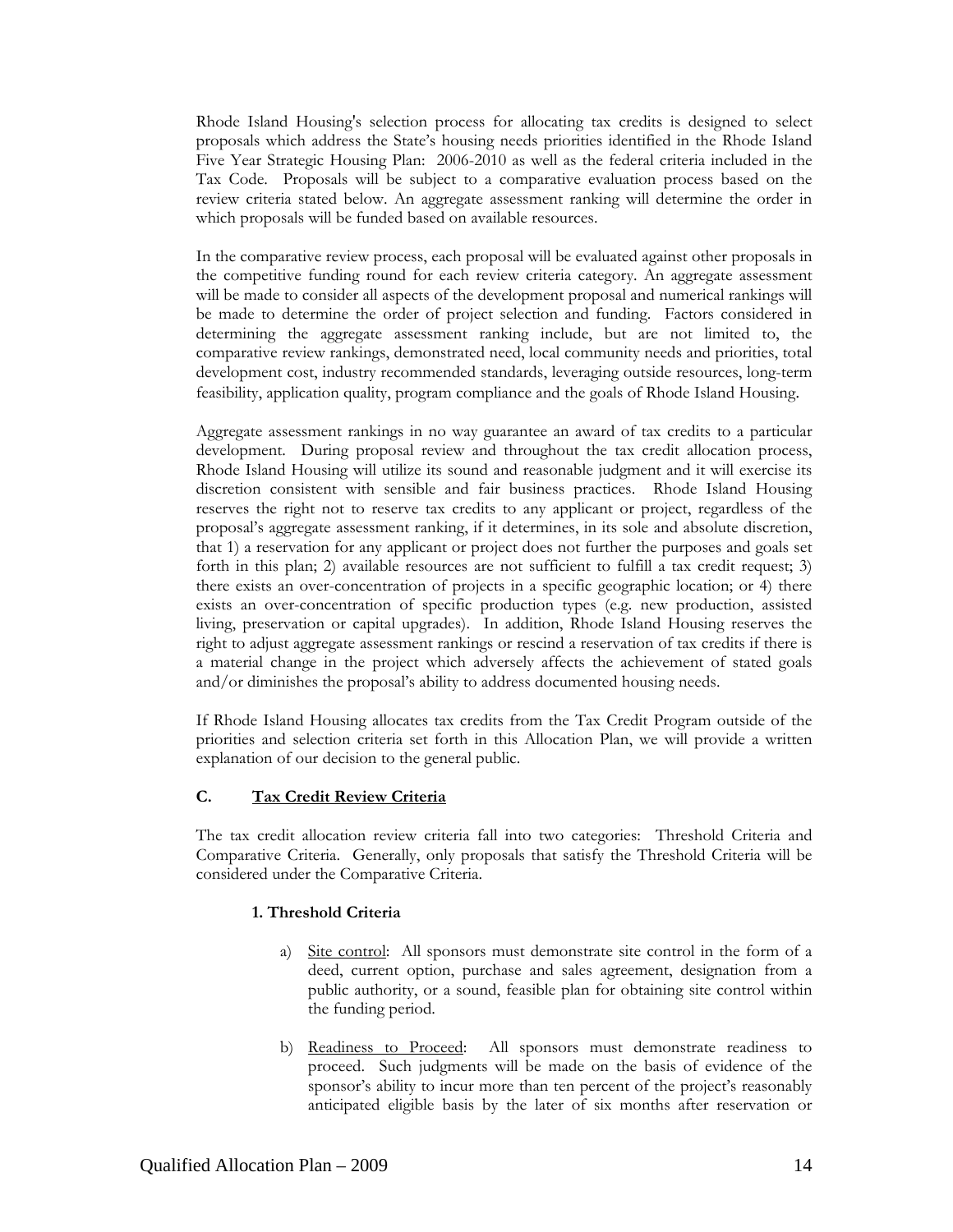Rhode Island Housing's selection process for allocating tax credits is designed to select proposals which address the State's housing needs priorities identified in the Rhode Island Five Year Strategic Housing Plan: 2006-2010 as well as the federal criteria included in the Tax Code. Proposals will be subject to a comparative evaluation process based on the review criteria stated below. An aggregate assessment ranking will determine the order in which proposals will be funded based on available resources.

In the comparative review process, each proposal will be evaluated against other proposals in the competitive funding round for each review criteria category. An aggregate assessment will be made to consider all aspects of the development proposal and numerical rankings will be made to determine the order of project selection and funding. Factors considered in determining the aggregate assessment ranking include, but are not limited to, the comparative review rankings, demonstrated need, local community needs and priorities, total development cost, industry recommended standards, leveraging outside resources, long-term feasibility, application quality, program compliance and the goals of Rhode Island Housing.

Aggregate assessment rankings in no way guarantee an award of tax credits to a particular development. During proposal review and throughout the tax credit allocation process, Rhode Island Housing will utilize its sound and reasonable judgment and it will exercise its discretion consistent with sensible and fair business practices. Rhode Island Housing reserves the right not to reserve tax credits to any applicant or project, regardless of the proposal's aggregate assessment ranking, if it determines, in its sole and absolute discretion, that 1) a reservation for any applicant or project does not further the purposes and goals set forth in this plan; 2) available resources are not sufficient to fulfill a tax credit request; 3) there exists an over-concentration of projects in a specific geographic location; or 4) there exists an over-concentration of specific production types (e.g. new production, assisted living, preservation or capital upgrades). In addition, Rhode Island Housing reserves the right to adjust aggregate assessment rankings or rescind a reservation of tax credits if there is a material change in the project which adversely affects the achievement of stated goals and/or diminishes the proposal's ability to address documented housing needs.

If Rhode Island Housing allocates tax credits from the Tax Credit Program outside of the priorities and selection criteria set forth in this Allocation Plan, we will provide a written explanation of our decision to the general public.

#### **C. Tax Credit Review Criteria**

The tax credit allocation review criteria fall into two categories: Threshold Criteria and Comparative Criteria. Generally, only proposals that satisfy the Threshold Criteria will be considered under the Comparative Criteria.

#### **1. Threshold Criteria**

- a) Site control: All sponsors must demonstrate site control in the form of a deed, current option, purchase and sales agreement, designation from a public authority, or a sound, feasible plan for obtaining site control within the funding period.
- b) Readiness to Proceed: All sponsors must demonstrate readiness to proceed. Such judgments will be made on the basis of evidence of the sponsor's ability to incur more than ten percent of the project's reasonably anticipated eligible basis by the later of six months after reservation or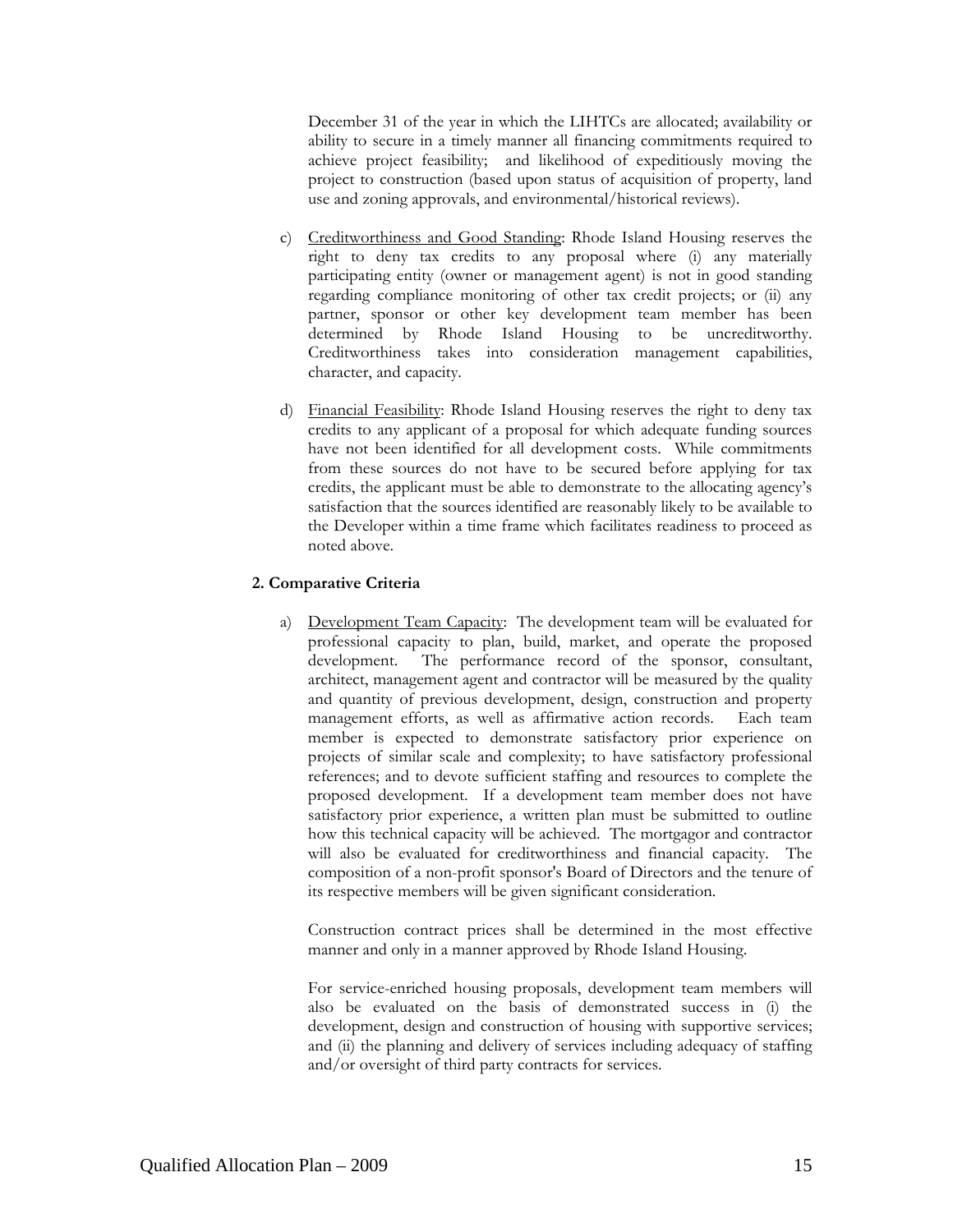December 31 of the year in which the LIHTCs are allocated; availability or ability to secure in a timely manner all financing commitments required to achieve project feasibility; and likelihood of expeditiously moving the project to construction (based upon status of acquisition of property, land use and zoning approvals, and environmental/historical reviews).

- c) Creditworthiness and Good Standing: Rhode Island Housing reserves the right to deny tax credits to any proposal where (i) any materially participating entity (owner or management agent) is not in good standing regarding compliance monitoring of other tax credit projects; or (ii) any partner, sponsor or other key development team member has been determined by Rhode Island Housing to be uncreditworthy. Creditworthiness takes into consideration management capabilities, character, and capacity.
- d) Financial Feasibility: Rhode Island Housing reserves the right to deny tax credits to any applicant of a proposal for which adequate funding sources have not been identified for all development costs. While commitments from these sources do not have to be secured before applying for tax credits, the applicant must be able to demonstrate to the allocating agency's satisfaction that the sources identified are reasonably likely to be available to the Developer within a time frame which facilitates readiness to proceed as noted above.

#### **2. Comparative Criteria**

a) Development Team Capacity: The development team will be evaluated for professional capacity to plan, build, market, and operate the proposed development. The performance record of the sponsor, consultant, architect, management agent and contractor will be measured by the quality and quantity of previous development, design, construction and property management efforts, as well as affirmative action records. Each team member is expected to demonstrate satisfactory prior experience on projects of similar scale and complexity; to have satisfactory professional references; and to devote sufficient staffing and resources to complete the proposed development. If a development team member does not have satisfactory prior experience, a written plan must be submitted to outline how this technical capacity will be achieved. The mortgagor and contractor will also be evaluated for creditworthiness and financial capacity. The composition of a non-profit sponsor's Board of Directors and the tenure of its respective members will be given significant consideration.

Construction contract prices shall be determined in the most effective manner and only in a manner approved by Rhode Island Housing.

For service-enriched housing proposals, development team members will also be evaluated on the basis of demonstrated success in (i) the development, design and construction of housing with supportive services; and (ii) the planning and delivery of services including adequacy of staffing and/or oversight of third party contracts for services.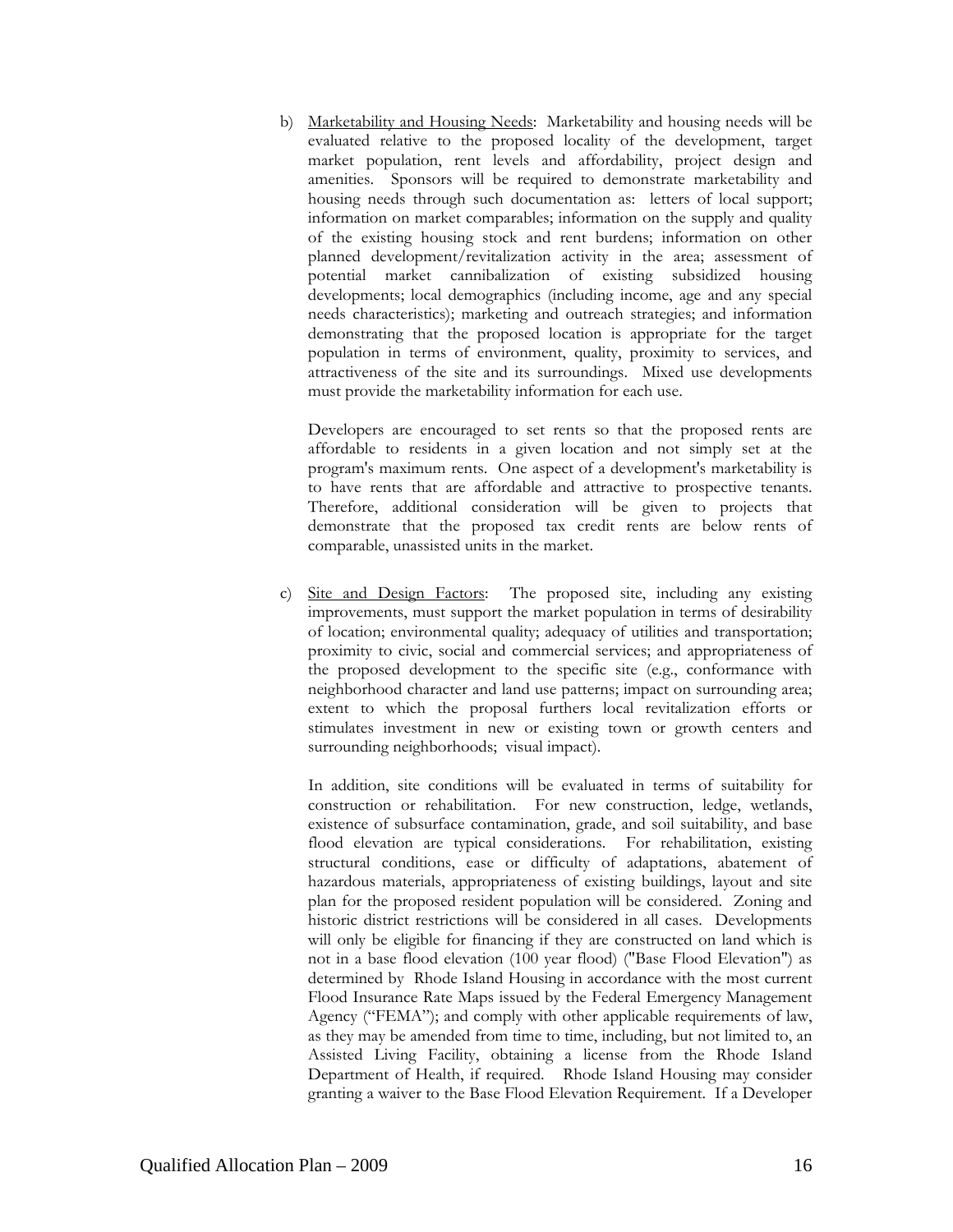b) Marketability and Housing Needs: Marketability and housing needs will be evaluated relative to the proposed locality of the development, target market population, rent levels and affordability, project design and amenities. Sponsors will be required to demonstrate marketability and housing needs through such documentation as: letters of local support; information on market comparables; information on the supply and quality of the existing housing stock and rent burdens; information on other planned development/revitalization activity in the area; assessment of potential market cannibalization of existing subsidized housing developments; local demographics (including income, age and any special needs characteristics); marketing and outreach strategies; and information demonstrating that the proposed location is appropriate for the target population in terms of environment, quality, proximity to services, and attractiveness of the site and its surroundings. Mixed use developments must provide the marketability information for each use.

Developers are encouraged to set rents so that the proposed rents are affordable to residents in a given location and not simply set at the program's maximum rents. One aspect of a development's marketability is to have rents that are affordable and attractive to prospective tenants. Therefore, additional consideration will be given to projects that demonstrate that the proposed tax credit rents are below rents of comparable, unassisted units in the market.

c) Site and Design Factors: The proposed site, including any existing improvements, must support the market population in terms of desirability of location; environmental quality; adequacy of utilities and transportation; proximity to civic, social and commercial services; and appropriateness of the proposed development to the specific site (e.g., conformance with neighborhood character and land use patterns; impact on surrounding area; extent to which the proposal furthers local revitalization efforts or stimulates investment in new or existing town or growth centers and surrounding neighborhoods; visual impact).

 In addition, site conditions will be evaluated in terms of suitability for construction or rehabilitation. For new construction, ledge, wetlands, existence of subsurface contamination, grade, and soil suitability, and base flood elevation are typical considerations. For rehabilitation, existing structural conditions, ease or difficulty of adaptations, abatement of hazardous materials, appropriateness of existing buildings, layout and site plan for the proposed resident population will be considered. Zoning and historic district restrictions will be considered in all cases. Developments will only be eligible for financing if they are constructed on land which is not in a base flood elevation (100 year flood) ("Base Flood Elevation") as determined by Rhode Island Housing in accordance with the most current Flood Insurance Rate Maps issued by the Federal Emergency Management Agency ("FEMA"); and comply with other applicable requirements of law, as they may be amended from time to time, including, but not limited to, an Assisted Living Facility, obtaining a license from the Rhode Island Department of Health, if required. Rhode Island Housing may consider granting a waiver to the Base Flood Elevation Requirement. If a Developer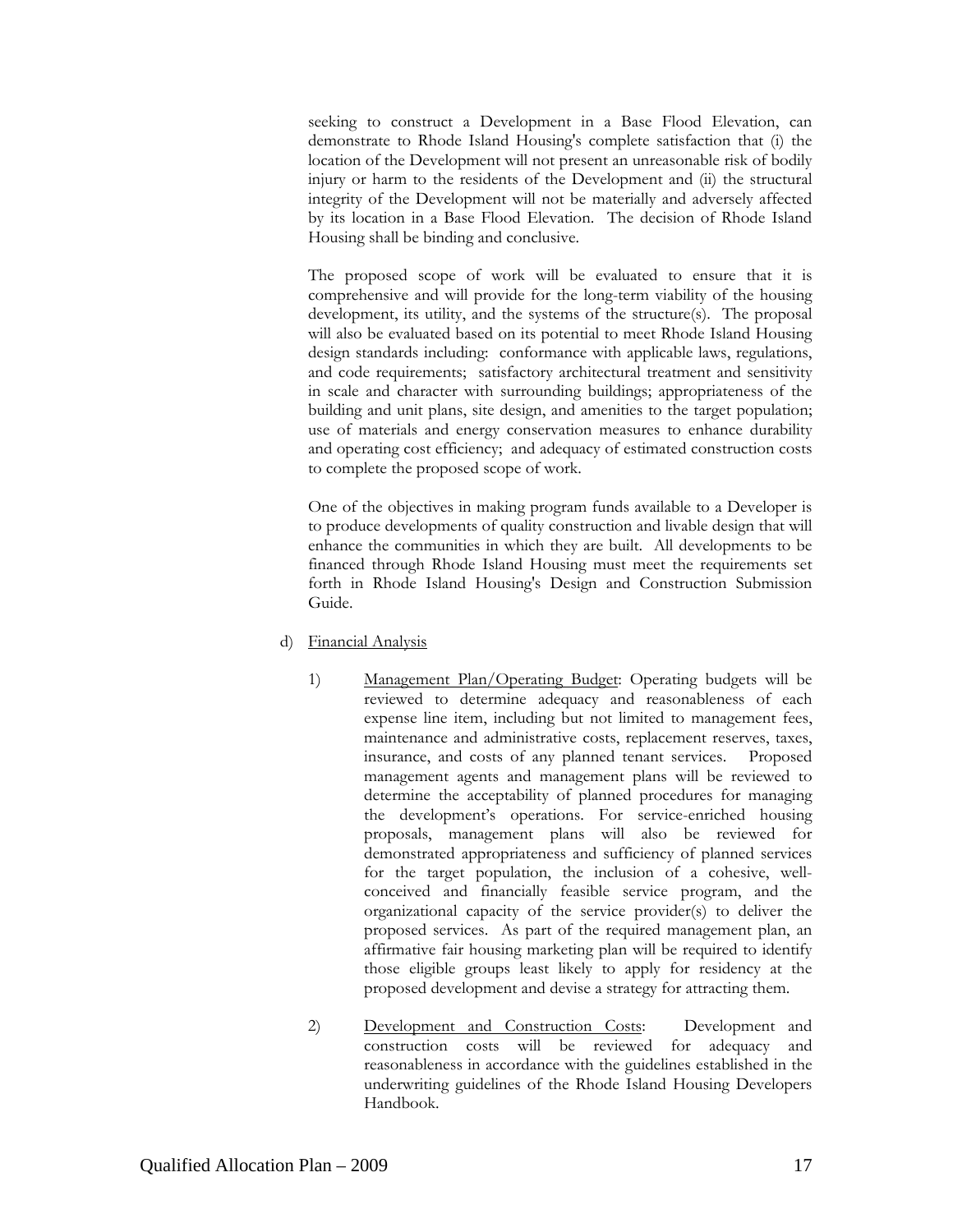seeking to construct a Development in a Base Flood Elevation, can demonstrate to Rhode Island Housing's complete satisfaction that (i) the location of the Development will not present an unreasonable risk of bodily injury or harm to the residents of the Development and (ii) the structural integrity of the Development will not be materially and adversely affected by its location in a Base Flood Elevation. The decision of Rhode Island Housing shall be binding and conclusive.

The proposed scope of work will be evaluated to ensure that it is comprehensive and will provide for the long-term viability of the housing development, its utility, and the systems of the structure(s). The proposal will also be evaluated based on its potential to meet Rhode Island Housing design standards including: conformance with applicable laws, regulations, and code requirements; satisfactory architectural treatment and sensitivity in scale and character with surrounding buildings; appropriateness of the building and unit plans, site design, and amenities to the target population; use of materials and energy conservation measures to enhance durability and operating cost efficiency; and adequacy of estimated construction costs to complete the proposed scope of work.

One of the objectives in making program funds available to a Developer is to produce developments of quality construction and livable design that will enhance the communities in which they are built. All developments to be financed through Rhode Island Housing must meet the requirements set forth in Rhode Island Housing's Design and Construction Submission Guide.

- d) Financial Analysis
	- 1) Management Plan/Operating Budget: Operating budgets will be reviewed to determine adequacy and reasonableness of each expense line item, including but not limited to management fees, maintenance and administrative costs, replacement reserves, taxes, insurance, and costs of any planned tenant services. Proposed management agents and management plans will be reviewed to determine the acceptability of planned procedures for managing the development's operations. For service-enriched housing proposals, management plans will also be reviewed for demonstrated appropriateness and sufficiency of planned services for the target population, the inclusion of a cohesive, wellconceived and financially feasible service program, and the organizational capacity of the service provider(s) to deliver the proposed services. As part of the required management plan, an affirmative fair housing marketing plan will be required to identify those eligible groups least likely to apply for residency at the proposed development and devise a strategy for attracting them.
	- 2) Development and Construction Costs: Development and construction costs will be reviewed for adequacy and reasonableness in accordance with the guidelines established in the underwriting guidelines of the Rhode Island Housing Developers Handbook.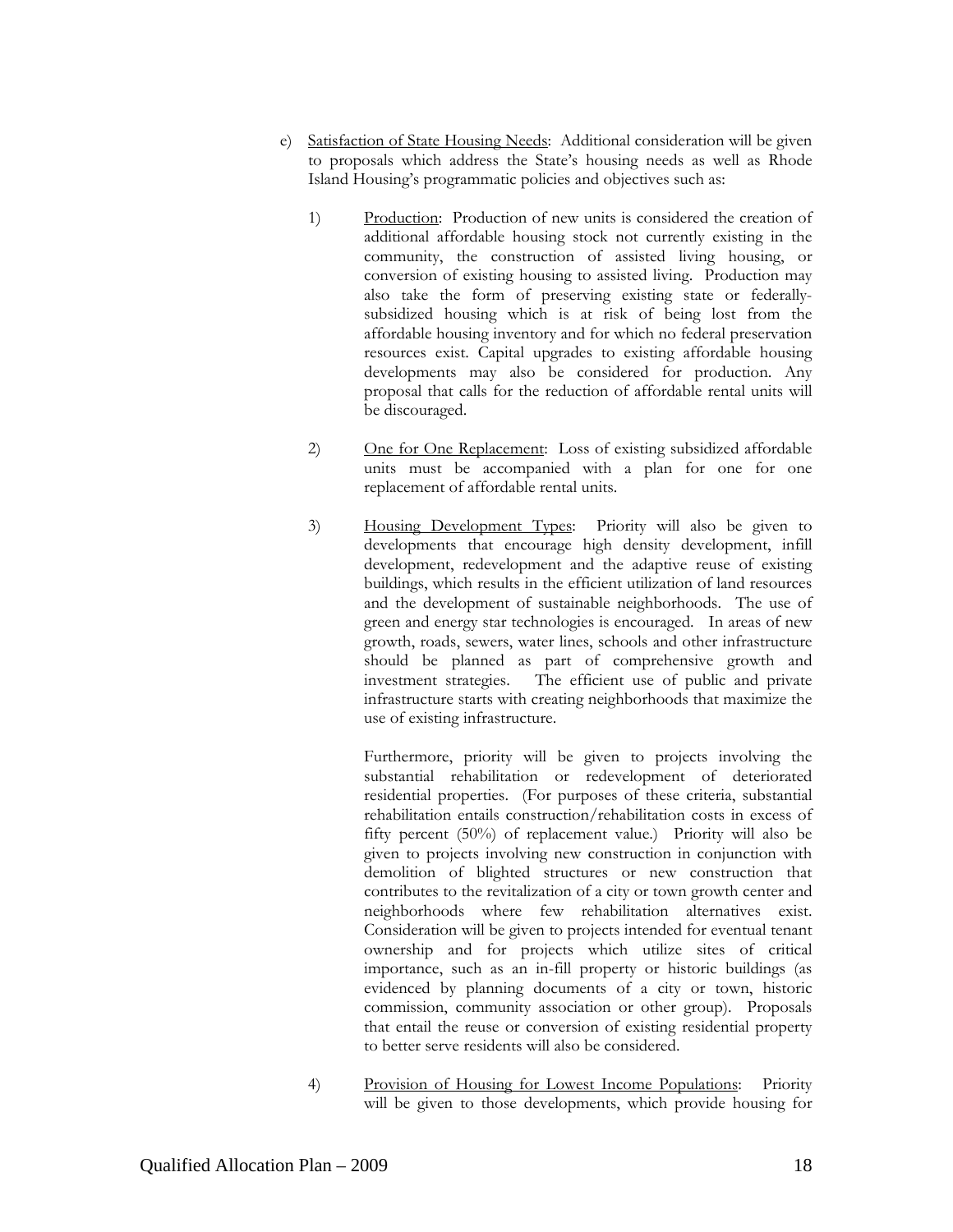- e) Satisfaction of State Housing Needs: Additional consideration will be given to proposals which address the State's housing needs as well as Rhode Island Housing's programmatic policies and objectives such as:
	- 1) Production: Production of new units is considered the creation of additional affordable housing stock not currently existing in the community, the construction of assisted living housing, or conversion of existing housing to assisted living. Production may also take the form of preserving existing state or federallysubsidized housing which is at risk of being lost from the affordable housing inventory and for which no federal preservation resources exist. Capital upgrades to existing affordable housing developments may also be considered for production. Any proposal that calls for the reduction of affordable rental units will be discouraged.
	- 2) One for One Replacement: Loss of existing subsidized affordable units must be accompanied with a plan for one for one replacement of affordable rental units.
	- 3) Housing Development Types: Priority will also be given to developments that encourage high density development, infill development, redevelopment and the adaptive reuse of existing buildings, which results in the efficient utilization of land resources and the development of sustainable neighborhoods. The use of green and energy star technologies is encouraged. In areas of new growth, roads, sewers, water lines, schools and other infrastructure should be planned as part of comprehensive growth and investment strategies. The efficient use of public and private infrastructure starts with creating neighborhoods that maximize the use of existing infrastructure.

 Furthermore, priority will be given to projects involving the substantial rehabilitation or redevelopment of deteriorated residential properties. (For purposes of these criteria, substantial rehabilitation entails construction/rehabilitation costs in excess of fifty percent (50%) of replacement value.) Priority will also be given to projects involving new construction in conjunction with demolition of blighted structures or new construction that contributes to the revitalization of a city or town growth center and neighborhoods where few rehabilitation alternatives exist. Consideration will be given to projects intended for eventual tenant ownership and for projects which utilize sites of critical importance, such as an in-fill property or historic buildings (as evidenced by planning documents of a city or town, historic commission, community association or other group). Proposals that entail the reuse or conversion of existing residential property to better serve residents will also be considered.

4) Provision of Housing for Lowest Income Populations: Priority will be given to those developments, which provide housing for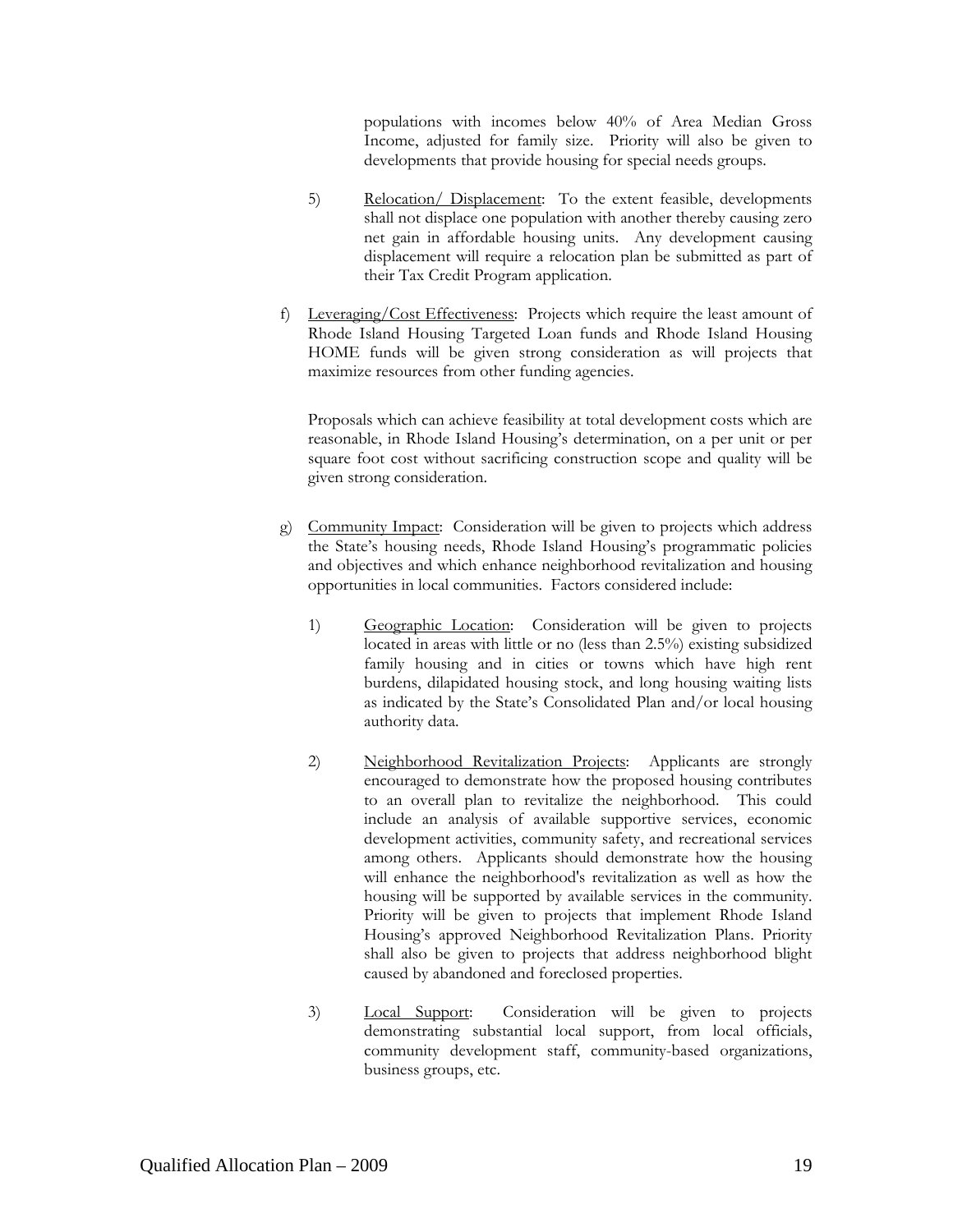populations with incomes below 40% of Area Median Gross Income, adjusted for family size. Priority will also be given to developments that provide housing for special needs groups.

- 5) Relocation/ Displacement: To the extent feasible, developments shall not displace one population with another thereby causing zero net gain in affordable housing units. Any development causing displacement will require a relocation plan be submitted as part of their Tax Credit Program application.
- f) Leveraging/Cost Effectiveness: Projects which require the least amount of Rhode Island Housing Targeted Loan funds and Rhode Island Housing HOME funds will be given strong consideration as will projects that maximize resources from other funding agencies.

Proposals which can achieve feasibility at total development costs which are reasonable, in Rhode Island Housing's determination, on a per unit or per square foot cost without sacrificing construction scope and quality will be given strong consideration.

- g) Community Impact: Consideration will be given to projects which address the State's housing needs, Rhode Island Housing's programmatic policies and objectives and which enhance neighborhood revitalization and housing opportunities in local communities. Factors considered include:
	- 1) Geographic Location: Consideration will be given to projects located in areas with little or no (less than 2.5%) existing subsidized family housing and in cities or towns which have high rent burdens, dilapidated housing stock, and long housing waiting lists as indicated by the State's Consolidated Plan and/or local housing authority data.
	- 2) Neighborhood Revitalization Projects: Applicants are strongly encouraged to demonstrate how the proposed housing contributes to an overall plan to revitalize the neighborhood. This could include an analysis of available supportive services, economic development activities, community safety, and recreational services among others. Applicants should demonstrate how the housing will enhance the neighborhood's revitalization as well as how the housing will be supported by available services in the community. Priority will be given to projects that implement Rhode Island Housing's approved Neighborhood Revitalization Plans. Priority shall also be given to projects that address neighborhood blight caused by abandoned and foreclosed properties.
	- 3) Local Support: Consideration will be given to projects demonstrating substantial local support, from local officials, community development staff, community-based organizations, business groups, etc.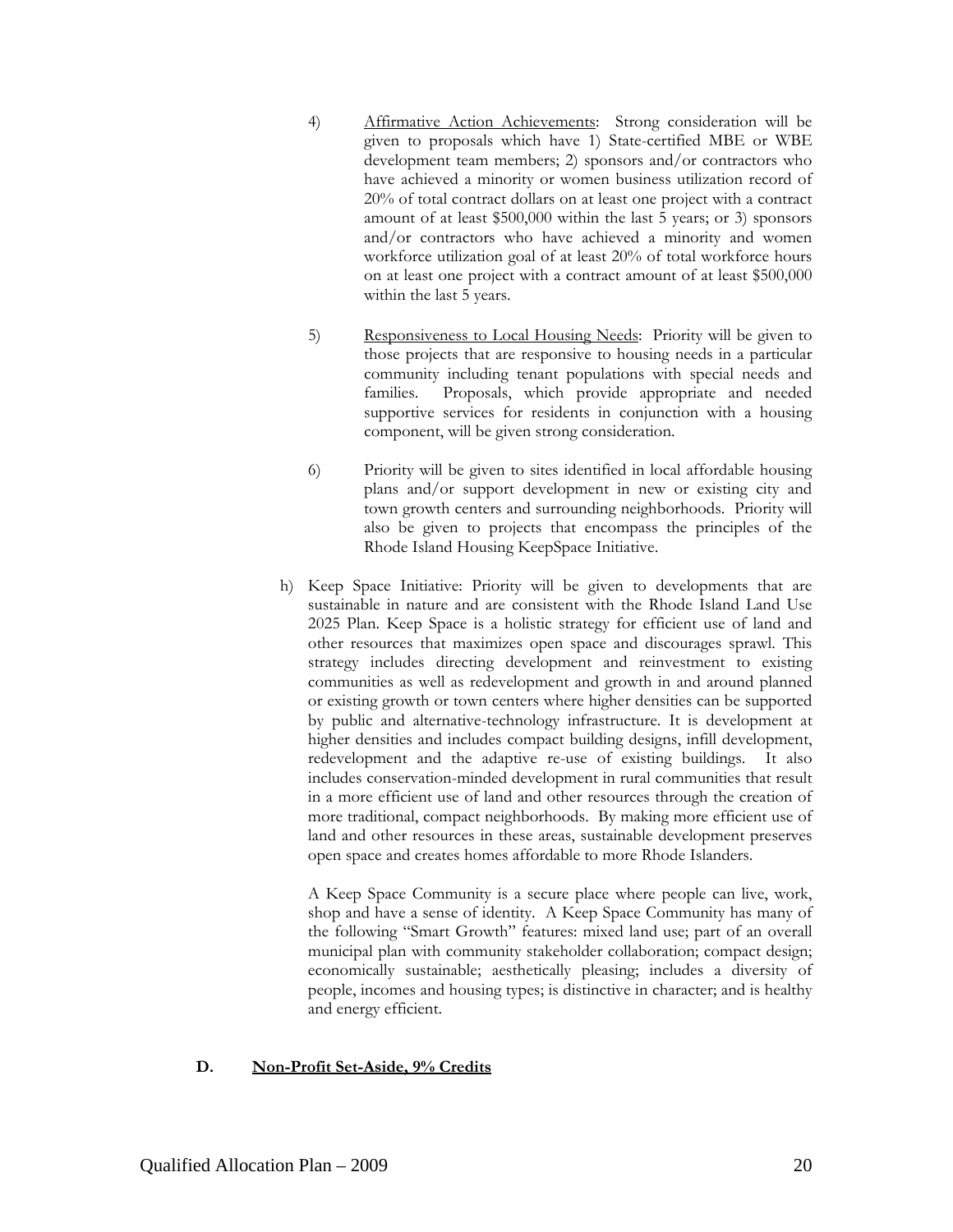- 4) Affirmative Action Achievements: Strong consideration will be given to proposals which have 1) State-certified MBE or WBE development team members; 2) sponsors and/or contractors who have achieved a minority or women business utilization record of 20% of total contract dollars on at least one project with a contract amount of at least \$500,000 within the last 5 years; or 3) sponsors and/or contractors who have achieved a minority and women workforce utilization goal of at least 20% of total workforce hours on at least one project with a contract amount of at least \$500,000 within the last 5 years.
- 5) Responsiveness to Local Housing Needs: Priority will be given to those projects that are responsive to housing needs in a particular community including tenant populations with special needs and families. Proposals, which provide appropriate and needed supportive services for residents in conjunction with a housing component, will be given strong consideration.
- 6) Priority will be given to sites identified in local affordable housing plans and/or support development in new or existing city and town growth centers and surrounding neighborhoods. Priority will also be given to projects that encompass the principles of the Rhode Island Housing KeepSpace Initiative.
- h) Keep Space Initiative: Priority will be given to developments that are sustainable in nature and are consistent with the Rhode Island Land Use 2025 Plan. Keep Space is a holistic strategy for efficient use of land and other resources that maximizes open space and discourages sprawl. This strategy includes directing development and reinvestment to existing communities as well as redevelopment and growth in and around planned or existing growth or town centers where higher densities can be supported by public and alternative-technology infrastructure. It is development at higher densities and includes compact building designs, infill development, redevelopment and the adaptive re-use of existing buildings. It also includes conservation-minded development in rural communities that result in a more efficient use of land and other resources through the creation of more traditional, compact neighborhoods. By making more efficient use of land and other resources in these areas, sustainable development preserves open space and creates homes affordable to more Rhode Islanders.

A Keep Space Community is a secure place where people can live, work, shop and have a sense of identity. A Keep Space Community has many of the following "Smart Growth" features: mixed land use; part of an overall municipal plan with community stakeholder collaboration; compact design; economically sustainable; aesthetically pleasing; includes a diversity of people, incomes and housing types; is distinctive in character; and is healthy and energy efficient.

#### **D. Non-Profit Set-Aside, 9% Credits**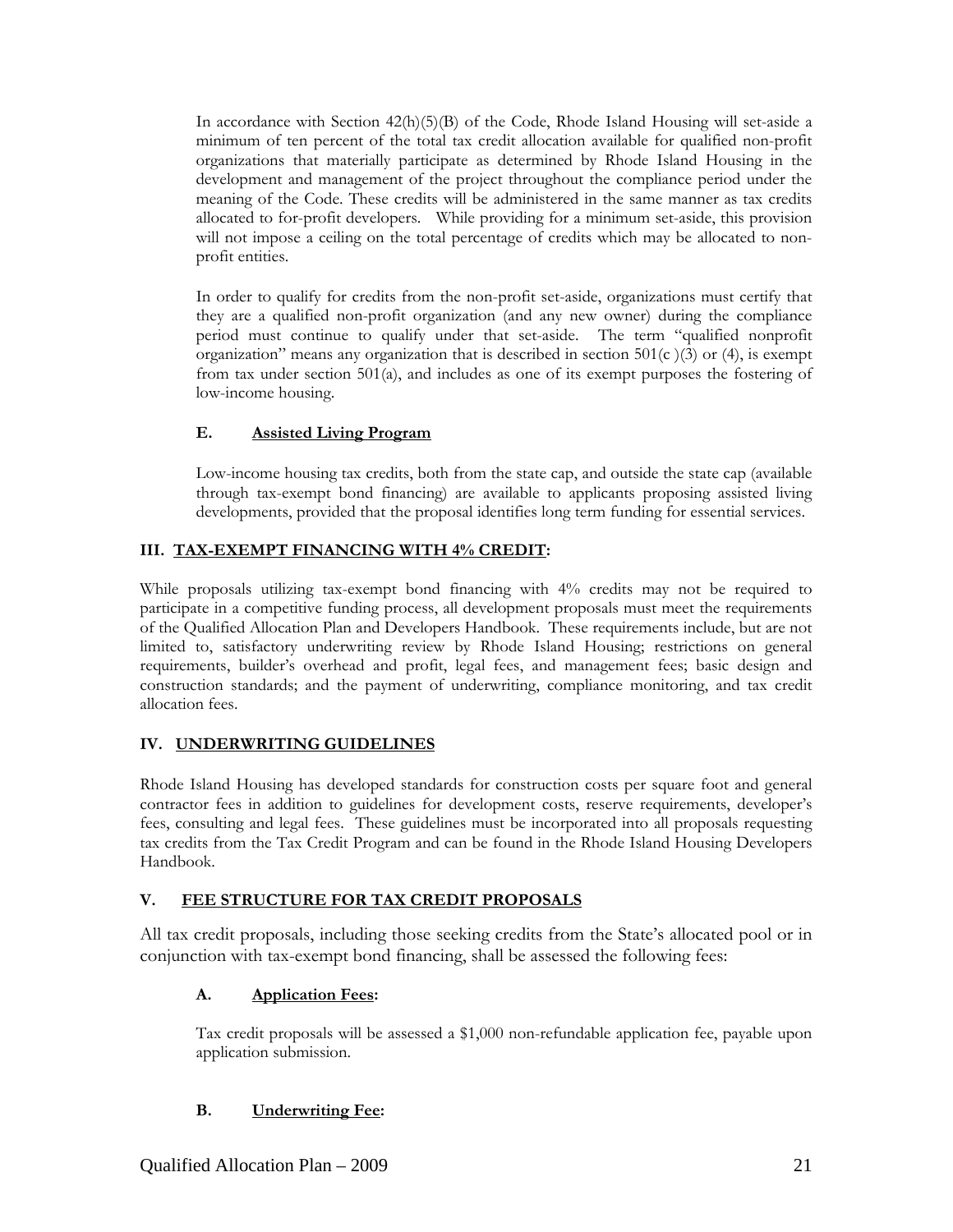In accordance with Section  $42(h)(5)(B)$  of the Code, Rhode Island Housing will set-aside a minimum of ten percent of the total tax credit allocation available for qualified non-profit organizations that materially participate as determined by Rhode Island Housing in the development and management of the project throughout the compliance period under the meaning of the Code. These credits will be administered in the same manner as tax credits allocated to for-profit developers. While providing for a minimum set-aside, this provision will not impose a ceiling on the total percentage of credits which may be allocated to nonprofit entities.

In order to qualify for credits from the non-profit set-aside, organizations must certify that they are a qualified non-profit organization (and any new owner) during the compliance period must continue to qualify under that set-aside. The term "qualified nonprofit organization" means any organization that is described in section  $501(c)(3)$  or (4), is exempt from tax under section 501(a), and includes as one of its exempt purposes the fostering of low-income housing.

# **E. Assisted Living Program**

Low-income housing tax credits, both from the state cap, and outside the state cap (available through tax-exempt bond financing) are available to applicants proposing assisted living developments, provided that the proposal identifies long term funding for essential services.

## **III. TAX-EXEMPT FINANCING WITH 4% CREDIT:**

While proposals utilizing tax-exempt bond financing with 4% credits may not be required to participate in a competitive funding process, all development proposals must meet the requirements of the Qualified Allocation Plan and Developers Handbook. These requirements include, but are not limited to, satisfactory underwriting review by Rhode Island Housing; restrictions on general requirements, builder's overhead and profit, legal fees, and management fees; basic design and construction standards; and the payment of underwriting, compliance monitoring, and tax credit allocation fees.

#### **IV. UNDERWRITING GUIDELINES**

Rhode Island Housing has developed standards for construction costs per square foot and general contractor fees in addition to guidelines for development costs, reserve requirements, developer's fees, consulting and legal fees. These guidelines must be incorporated into all proposals requesting tax credits from the Tax Credit Program and can be found in the Rhode Island Housing Developers Handbook.

#### **V. FEE STRUCTURE FOR TAX CREDIT PROPOSALS**

All tax credit proposals, including those seeking credits from the State's allocated pool or in conjunction with tax-exempt bond financing, shall be assessed the following fees:

# **A. Application Fees:**

Tax credit proposals will be assessed a \$1,000 non-refundable application fee, payable upon application submission.

# **B. Underwriting Fee:**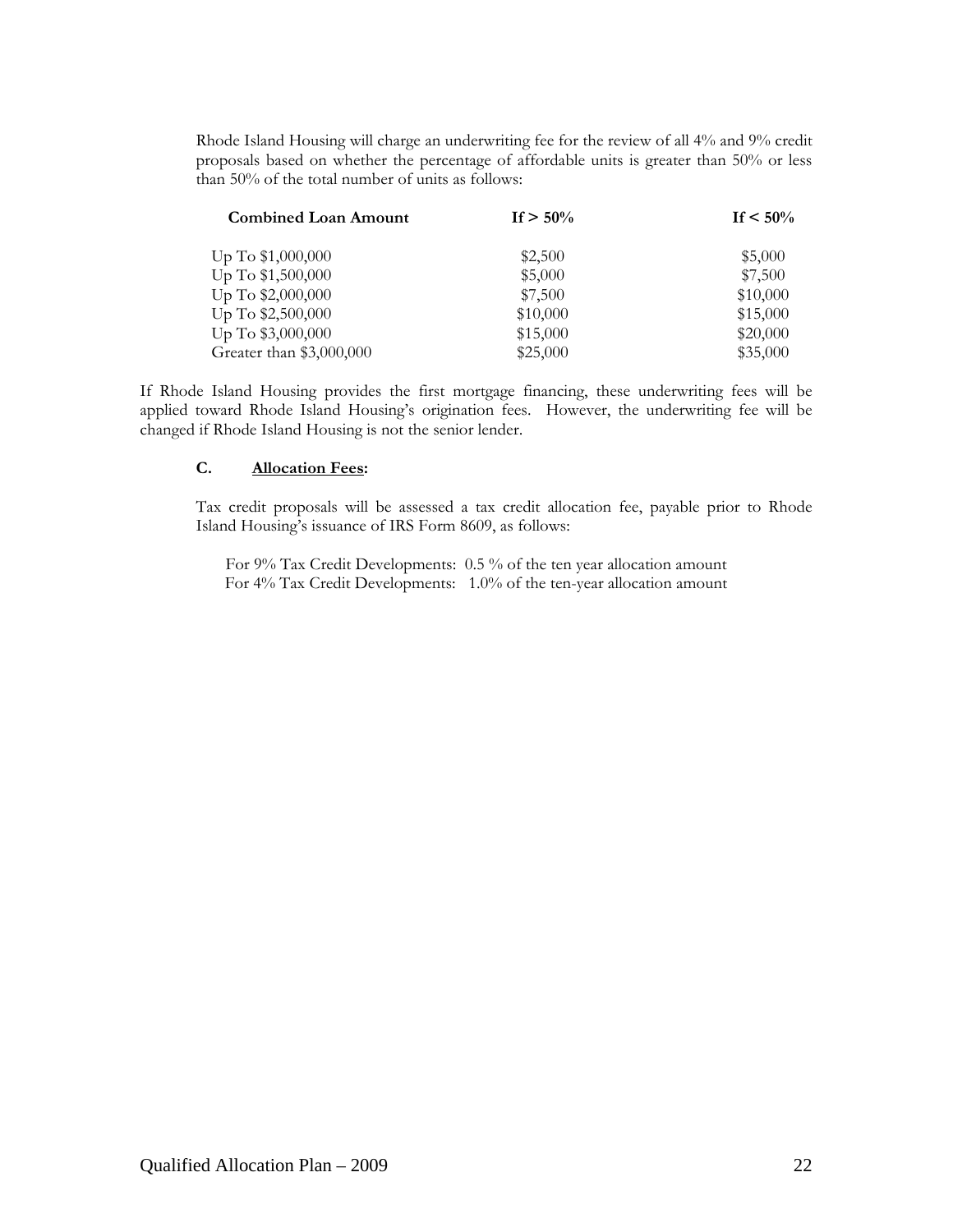Rhode Island Housing will charge an underwriting fee for the review of all 4% and 9% credit proposals based on whether the percentage of affordable units is greater than 50% or less than 50% of the total number of units as follows:

| <b>Combined Loan Amount</b> | If $> 50\%$ | If $\leq 50\%$ |
|-----------------------------|-------------|----------------|
| Up To \$1,000,000           | \$2,500     | \$5,000        |
| Up To \$1,500,000           | \$5,000     | \$7,500        |
| Up To \$2,000,000           | \$7,500     | \$10,000       |
| Up To \$2,500,000           | \$10,000    | \$15,000       |
| Up To \$3,000,000           | \$15,000    | \$20,000       |
| Greater than \$3,000,000    | \$25,000    | \$35,000       |

If Rhode Island Housing provides the first mortgage financing, these underwriting fees will be applied toward Rhode Island Housing's origination fees. However, the underwriting fee will be changed if Rhode Island Housing is not the senior lender.

#### **C. Allocation Fees:**

Tax credit proposals will be assessed a tax credit allocation fee, payable prior to Rhode Island Housing's issuance of IRS Form 8609, as follows:

For 9% Tax Credit Developments: 0.5 % of the ten year allocation amount For 4% Tax Credit Developments: 1.0% of the ten-year allocation amount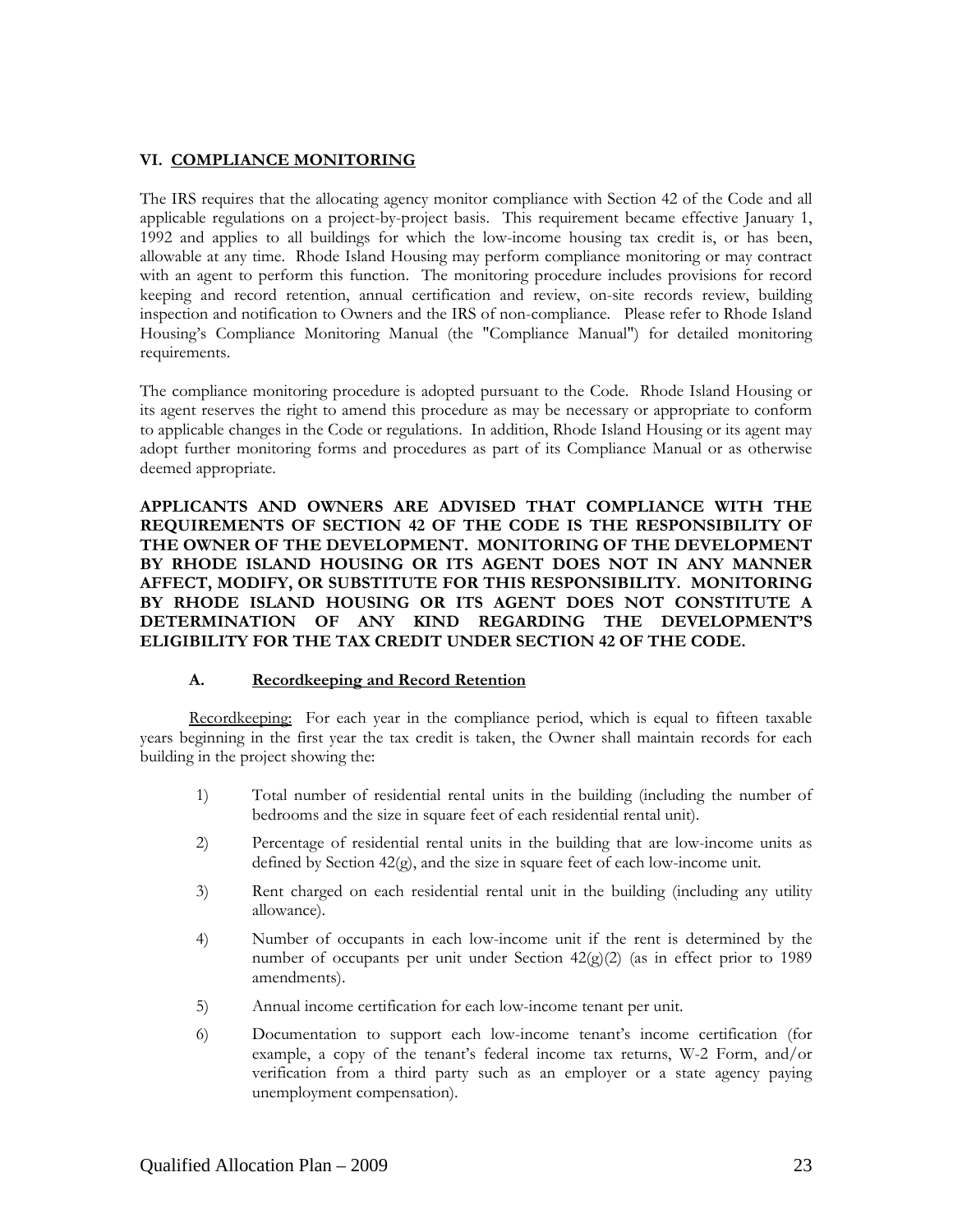#### **VI. COMPLIANCE MONITORING**

The IRS requires that the allocating agency monitor compliance with Section 42 of the Code and all applicable regulations on a project-by-project basis. This requirement became effective January 1, 1992 and applies to all buildings for which the low-income housing tax credit is, or has been, allowable at any time. Rhode Island Housing may perform compliance monitoring or may contract with an agent to perform this function. The monitoring procedure includes provisions for record keeping and record retention, annual certification and review, on-site records review, building inspection and notification to Owners and the IRS of non-compliance. Please refer to Rhode Island Housing's Compliance Monitoring Manual (the "Compliance Manual") for detailed monitoring requirements.

The compliance monitoring procedure is adopted pursuant to the Code. Rhode Island Housing or its agent reserves the right to amend this procedure as may be necessary or appropriate to conform to applicable changes in the Code or regulations. In addition, Rhode Island Housing or its agent may adopt further monitoring forms and procedures as part of its Compliance Manual or as otherwise deemed appropriate.

**APPLICANTS AND OWNERS ARE ADVISED THAT COMPLIANCE WITH THE REQUIREMENTS OF SECTION 42 OF THE CODE IS THE RESPONSIBILITY OF THE OWNER OF THE DEVELOPMENT. MONITORING OF THE DEVELOPMENT BY RHODE ISLAND HOUSING OR ITS AGENT DOES NOT IN ANY MANNER AFFECT, MODIFY, OR SUBSTITUTE FOR THIS RESPONSIBILITY. MONITORING BY RHODE ISLAND HOUSING OR ITS AGENT DOES NOT CONSTITUTE A DETERMINATION OF ANY KIND REGARDING THE DEVELOPMENT'S ELIGIBILITY FOR THE TAX CREDIT UNDER SECTION 42 OF THE CODE.** 

#### **A. Recordkeeping and Record Retention**

Recordkeeping: For each year in the compliance period, which is equal to fifteen taxable years beginning in the first year the tax credit is taken, the Owner shall maintain records for each building in the project showing the:

- 1) Total number of residential rental units in the building (including the number of bedrooms and the size in square feet of each residential rental unit).
- 2) Percentage of residential rental units in the building that are low-income units as defined by Section 42(g), and the size in square feet of each low-income unit.
- 3) Rent charged on each residential rental unit in the building (including any utility allowance).
- 4) Number of occupants in each low-income unit if the rent is determined by the number of occupants per unit under Section 42(g)(2) (as in effect prior to 1989 amendments).
- 5) Annual income certification for each low-income tenant per unit.
- 6) Documentation to support each low-income tenant's income certification (for example, a copy of the tenant's federal income tax returns, W-2 Form, and/or verification from a third party such as an employer or a state agency paying unemployment compensation).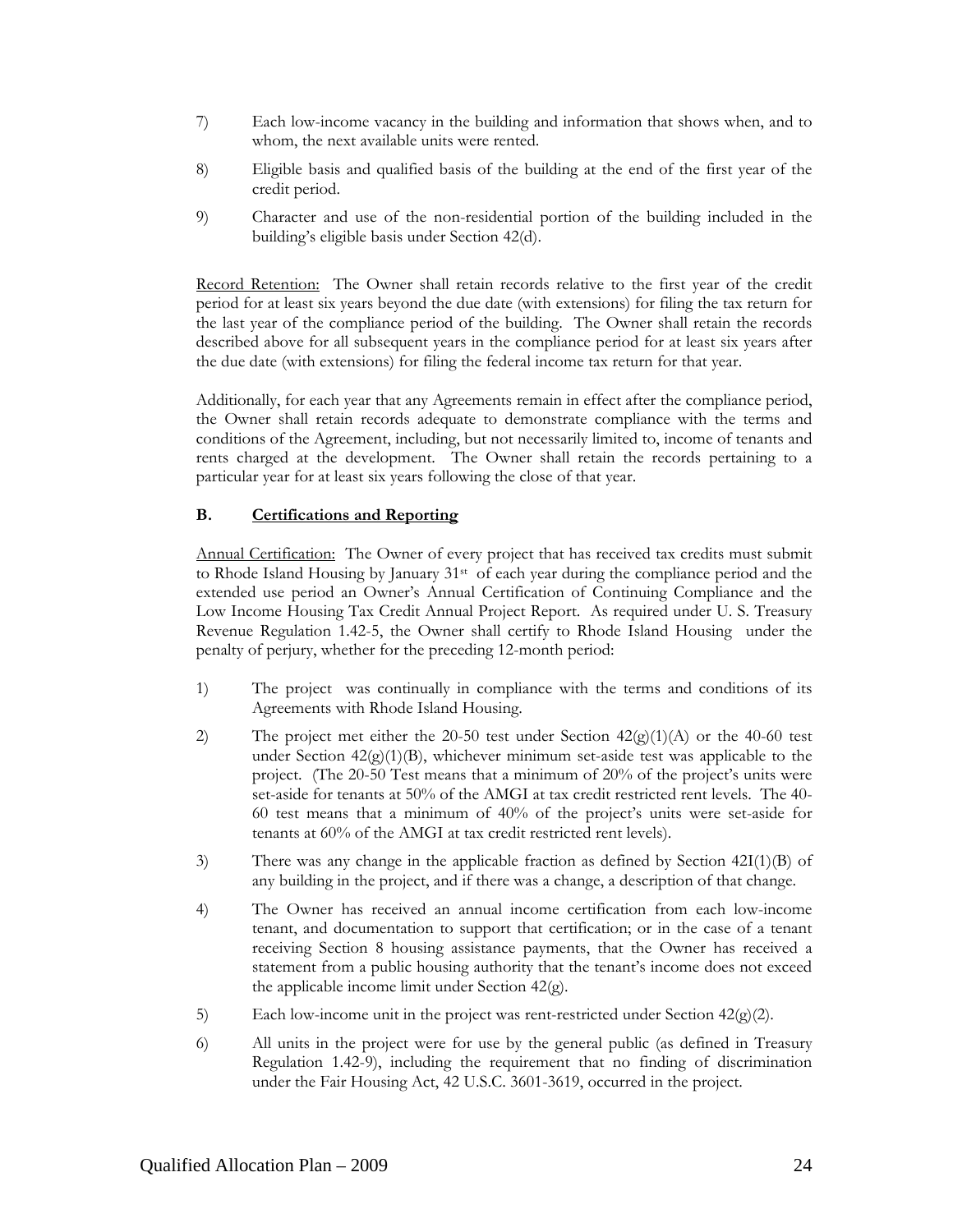- 7) Each low-income vacancy in the building and information that shows when, and to whom, the next available units were rented.
- 8) Eligible basis and qualified basis of the building at the end of the first year of the credit period.
- 9) Character and use of the non-residential portion of the building included in the building's eligible basis under Section 42(d).

Record Retention: The Owner shall retain records relative to the first year of the credit period for at least six years beyond the due date (with extensions) for filing the tax return for the last year of the compliance period of the building. The Owner shall retain the records described above for all subsequent years in the compliance period for at least six years after the due date (with extensions) for filing the federal income tax return for that year.

Additionally, for each year that any Agreements remain in effect after the compliance period, the Owner shall retain records adequate to demonstrate compliance with the terms and conditions of the Agreement, including, but not necessarily limited to, income of tenants and rents charged at the development. The Owner shall retain the records pertaining to a particular year for at least six years following the close of that year.

#### **B. Certifications and Reporting**

Annual Certification: The Owner of every project that has received tax credits must submit to Rhode Island Housing by January 31<sup>st</sup> of each year during the compliance period and the extended use period an Owner's Annual Certification of Continuing Compliance and the Low Income Housing Tax Credit Annual Project Report. As required under U. S. Treasury Revenue Regulation 1.42-5, the Owner shall certify to Rhode Island Housing under the penalty of perjury, whether for the preceding 12-month period:

- 1) The project was continually in compliance with the terms and conditions of its Agreements with Rhode Island Housing.
- 2) The project met either the 20-50 test under Section  $42(g)(1)(A)$  or the 40-60 test under Section  $42(g)(1)(B)$ , whichever minimum set-aside test was applicable to the project. (The 20-50 Test means that a minimum of 20% of the project's units were set-aside for tenants at 50% of the AMGI at tax credit restricted rent levels. The 40- 60 test means that a minimum of 40% of the project's units were set-aside for tenants at 60% of the AMGI at tax credit restricted rent levels).
- 3) There was any change in the applicable fraction as defined by Section 42I(1)(B) of any building in the project, and if there was a change, a description of that change.
- 4) The Owner has received an annual income certification from each low-income tenant, and documentation to support that certification; or in the case of a tenant receiving Section 8 housing assistance payments, that the Owner has received a statement from a public housing authority that the tenant's income does not exceed the applicable income limit under Section 42(g).
- 5) Each low-income unit in the project was rent-restricted under Section  $42(g)(2)$ .
- 6) All units in the project were for use by the general public (as defined in Treasury Regulation 1.42-9), including the requirement that no finding of discrimination under the Fair Housing Act, 42 U.S.C. 3601-3619, occurred in the project.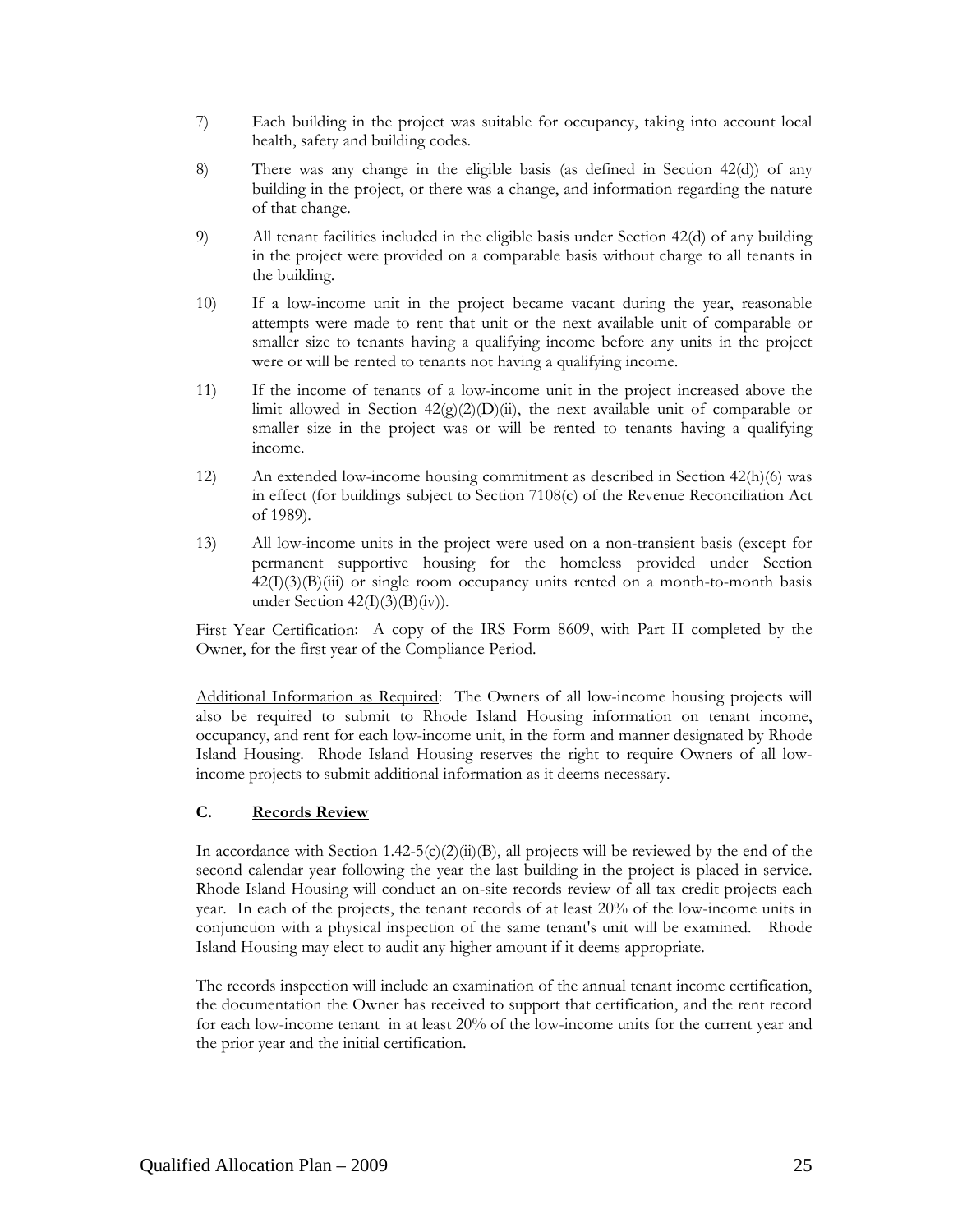- 7) Each building in the project was suitable for occupancy, taking into account local health, safety and building codes.
- 8) There was any change in the eligible basis (as defined in Section 42(d)) of any building in the project, or there was a change, and information regarding the nature of that change.
- 9) All tenant facilities included in the eligible basis under Section 42(d) of any building in the project were provided on a comparable basis without charge to all tenants in the building.
- 10) If a low-income unit in the project became vacant during the year, reasonable attempts were made to rent that unit or the next available unit of comparable or smaller size to tenants having a qualifying income before any units in the project were or will be rented to tenants not having a qualifying income.
- 11) If the income of tenants of a low-income unit in the project increased above the limit allowed in Section  $42(g)(2)(D)(ii)$ , the next available unit of comparable or smaller size in the project was or will be rented to tenants having a qualifying income.
- 12) An extended low-income housing commitment as described in Section 42(h)(6) was in effect (for buildings subject to Section 7108(c) of the Revenue Reconciliation Act of 1989).
- 13) All low-income units in the project were used on a non-transient basis (except for permanent supportive housing for the homeless provided under Section  $42(I)(3)(B)(iii)$  or single room occupancy units rented on a month-to-month basis under Section  $42(I)(3)(B)(iv)$ .

First Year Certification: A copy of the IRS Form 8609, with Part II completed by the Owner, for the first year of the Compliance Period.

Additional Information as Required: The Owners of all low-income housing projects will also be required to submit to Rhode Island Housing information on tenant income, occupancy, and rent for each low-income unit, in the form and manner designated by Rhode Island Housing. Rhode Island Housing reserves the right to require Owners of all lowincome projects to submit additional information as it deems necessary.

# **C. Records Review**

In accordance with Section 1.42-5(c)(2)(ii)(B), all projects will be reviewed by the end of the second calendar year following the year the last building in the project is placed in service. Rhode Island Housing will conduct an on-site records review of all tax credit projects each year. In each of the projects, the tenant records of at least 20% of the low-income units in conjunction with a physical inspection of the same tenant's unit will be examined. Rhode Island Housing may elect to audit any higher amount if it deems appropriate.

The records inspection will include an examination of the annual tenant income certification, the documentation the Owner has received to support that certification, and the rent record for each low-income tenant in at least 20% of the low-income units for the current year and the prior year and the initial certification.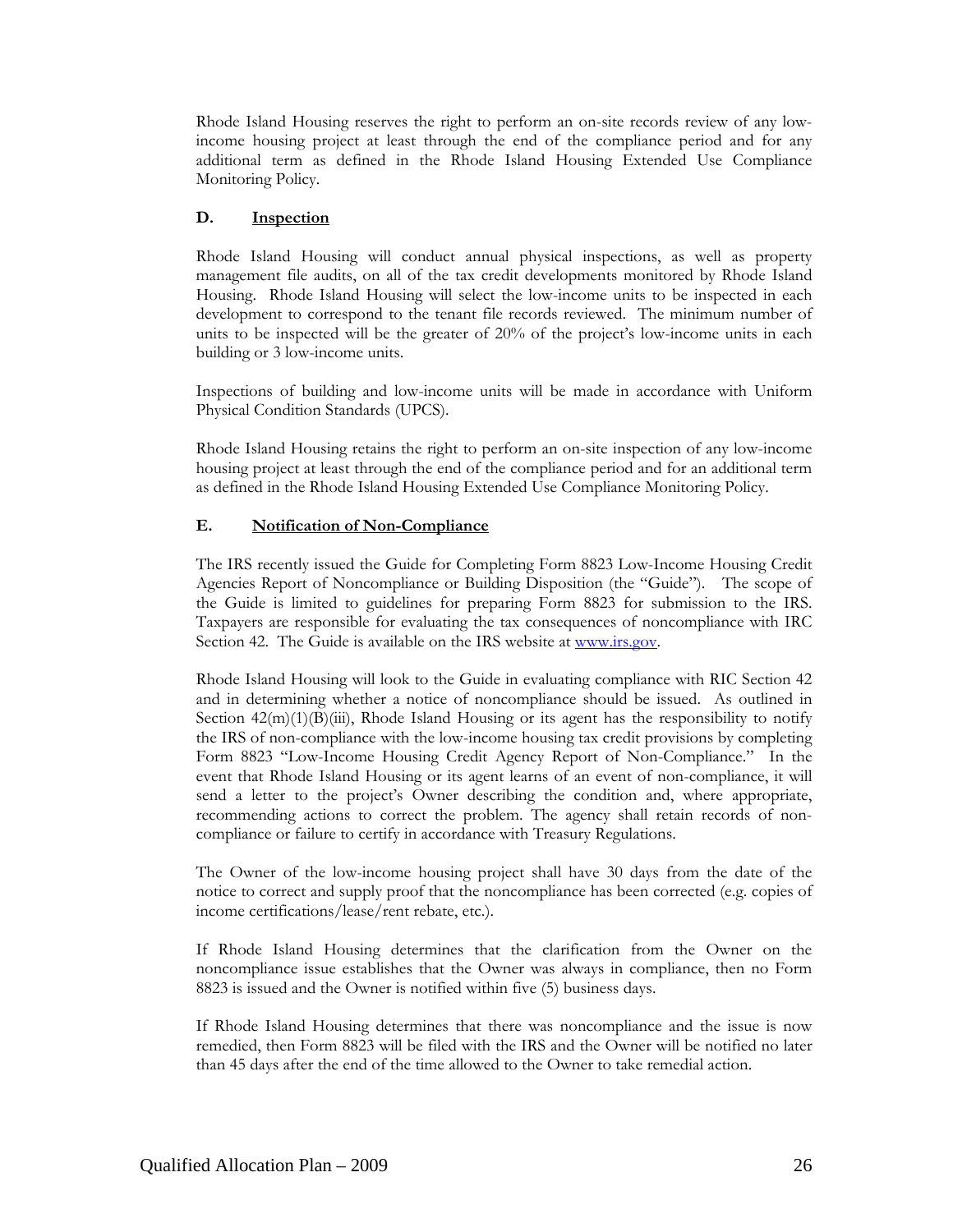Rhode Island Housing reserves the right to perform an on-site records review of any lowincome housing project at least through the end of the compliance period and for any additional term as defined in the Rhode Island Housing Extended Use Compliance Monitoring Policy.

## **D. Inspection**

Rhode Island Housing will conduct annual physical inspections, as well as property management file audits, on all of the tax credit developments monitored by Rhode Island Housing. Rhode Island Housing will select the low-income units to be inspected in each development to correspond to the tenant file records reviewed. The minimum number of units to be inspected will be the greater of 20% of the project's low-income units in each building or 3 low-income units.

Inspections of building and low-income units will be made in accordance with Uniform Physical Condition Standards (UPCS).

Rhode Island Housing retains the right to perform an on-site inspection of any low-income housing project at least through the end of the compliance period and for an additional term as defined in the Rhode Island Housing Extended Use Compliance Monitoring Policy.

## **E. Notification of Non-Compliance**

The IRS recently issued the Guide for Completing Form 8823 Low-Income Housing Credit Agencies Report of Noncompliance or Building Disposition (the "Guide"). The scope of the Guide is limited to guidelines for preparing Form 8823 for submission to the IRS. Taxpayers are responsible for evaluating the tax consequences of noncompliance with IRC Section 42. The Guide is available on the IRS website at [www.irs.gov](http://www.irs.gov/).

Rhode Island Housing will look to the Guide in evaluating compliance with RIC Section 42 and in determining whether a notice of noncompliance should be issued. As outlined in Section  $42(m)(1)(B)(iii)$ , Rhode Island Housing or its agent has the responsibility to notify the IRS of non-compliance with the low-income housing tax credit provisions by completing Form 8823 "Low-Income Housing Credit Agency Report of Non-Compliance." In the event that Rhode Island Housing or its agent learns of an event of non-compliance, it will send a letter to the project's Owner describing the condition and, where appropriate, recommending actions to correct the problem. The agency shall retain records of noncompliance or failure to certify in accordance with Treasury Regulations.

The Owner of the low-income housing project shall have 30 days from the date of the notice to correct and supply proof that the noncompliance has been corrected (e.g. copies of income certifications/lease/rent rebate, etc.).

If Rhode Island Housing determines that the clarification from the Owner on the noncompliance issue establishes that the Owner was always in compliance, then no Form 8823 is issued and the Owner is notified within five (5) business days.

If Rhode Island Housing determines that there was noncompliance and the issue is now remedied, then Form 8823 will be filed with the IRS and the Owner will be notified no later than 45 days after the end of the time allowed to the Owner to take remedial action.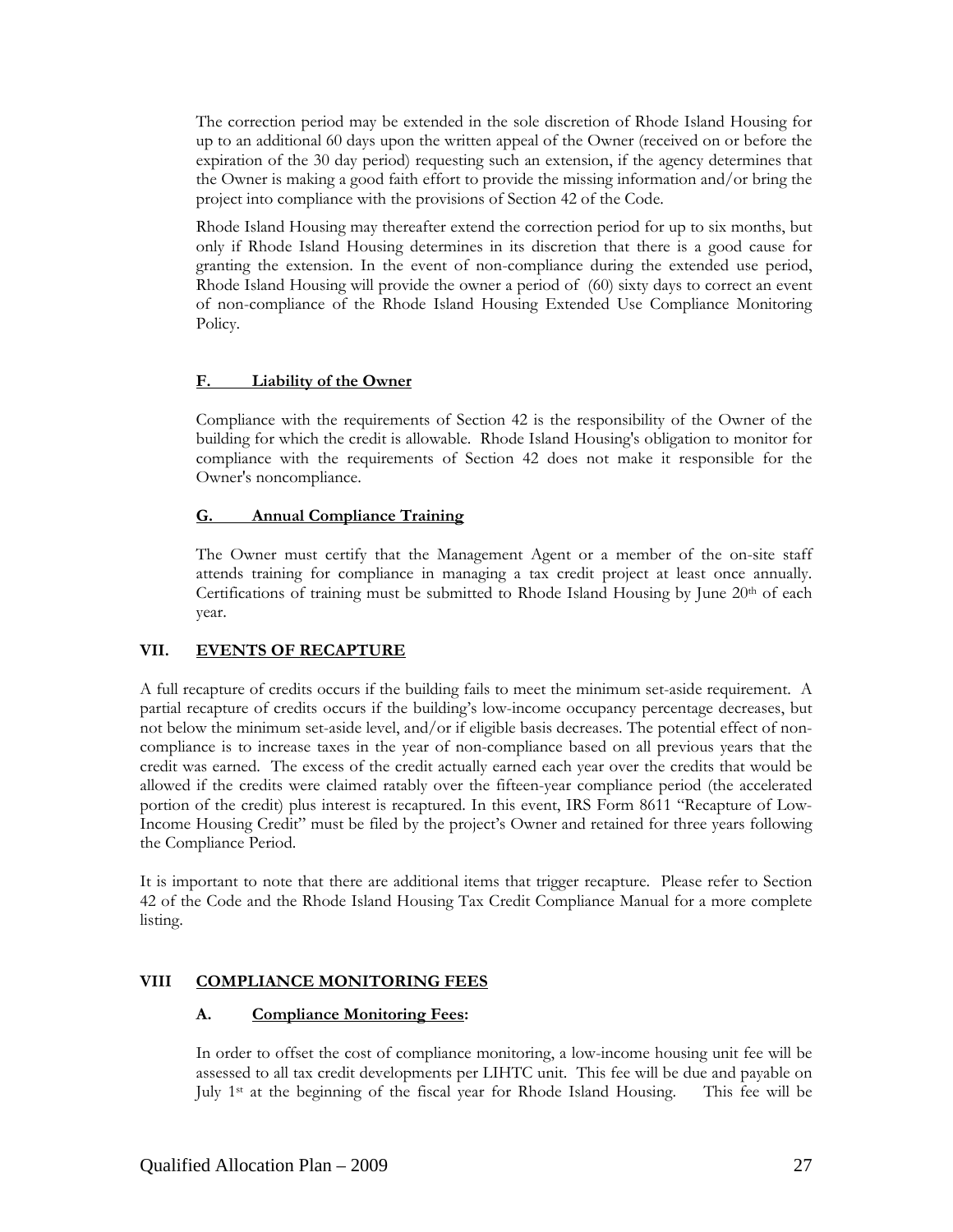The correction period may be extended in the sole discretion of Rhode Island Housing for up to an additional 60 days upon the written appeal of the Owner (received on or before the expiration of the 30 day period) requesting such an extension, if the agency determines that the Owner is making a good faith effort to provide the missing information and/or bring the project into compliance with the provisions of Section 42 of the Code.

Rhode Island Housing may thereafter extend the correction period for up to six months, but only if Rhode Island Housing determines in its discretion that there is a good cause for granting the extension. In the event of non-compliance during the extended use period, Rhode Island Housing will provide the owner a period of (60) sixty days to correct an event of non-compliance of the Rhode Island Housing Extended Use Compliance Monitoring Policy.

## **F. Liability of the Owner**

Compliance with the requirements of Section 42 is the responsibility of the Owner of the building for which the credit is allowable. Rhode Island Housing's obligation to monitor for compliance with the requirements of Section 42 does not make it responsible for the Owner's noncompliance.

#### **G. Annual Compliance Training**

The Owner must certify that the Management Agent or a member of the on-site staff attends training for compliance in managing a tax credit project at least once annually. Certifications of training must be submitted to Rhode Island Housing by June  $20<sup>th</sup>$  of each year.

# **VII. EVENTS OF RECAPTURE**

A full recapture of credits occurs if the building fails to meet the minimum set-aside requirement. A partial recapture of credits occurs if the building's low-income occupancy percentage decreases, but not below the minimum set-aside level, and/or if eligible basis decreases. The potential effect of noncompliance is to increase taxes in the year of non-compliance based on all previous years that the credit was earned. The excess of the credit actually earned each year over the credits that would be allowed if the credits were claimed ratably over the fifteen-year compliance period (the accelerated portion of the credit) plus interest is recaptured. In this event, IRS Form 8611 "Recapture of Low-Income Housing Credit" must be filed by the project's Owner and retained for three years following the Compliance Period.

It is important to note that there are additional items that trigger recapture. Please refer to Section 42 of the Code and the Rhode Island Housing Tax Credit Compliance Manual for a more complete listing.

# **VIII COMPLIANCE MONITORING FEES**

#### **A. Compliance Monitoring Fees:**

In order to offset the cost of compliance monitoring, a low-income housing unit fee will be assessed to all tax credit developments per LIHTC unit. This fee will be due and payable on July 1st at the beginning of the fiscal year for Rhode Island Housing. This fee will be